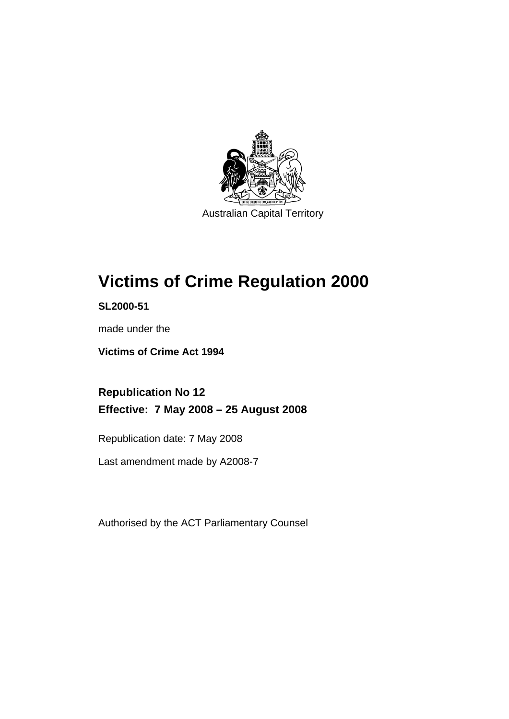

Australian Capital Territory

# **[Victims of Crime Regulation 2000](#page-6-0)**

**SL2000-51** 

made under the

**[Victims of Crime Act 1994](#page-6-0)** 

**Republication No 12 Effective: 7 May 2008 – 25 August 2008** 

Republication date: 7 May 2008

Last amendment made by A2008-7

Authorised by the ACT Parliamentary Counsel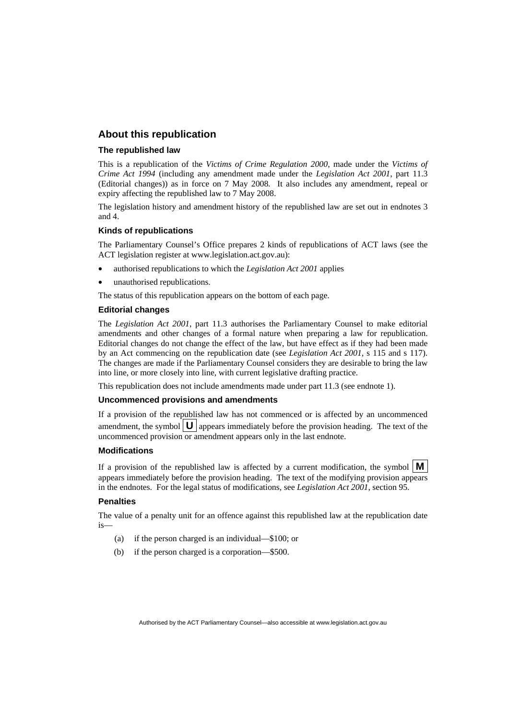### **About this republication**

#### **The republished law**

This is a republication of the *Victims of Crime Regulation 2000*, made under the *[Victims of](#page-6-0)  [Crime Act 1994](#page-6-0)* (including any amendment made under the *Legislation Act 2001*, part 11.3 (Editorial changes)) as in force on 7 May 2008*.* It also includes any amendment, repeal or expiry affecting the republished law to 7 May 2008.

The legislation history and amendment history of the republished law are set out in endnotes 3 and 4.

#### **Kinds of republications**

The Parliamentary Counsel's Office prepares 2 kinds of republications of ACT laws (see the ACT legislation register at www.legislation.act.gov.au):

- authorised republications to which the *Legislation Act 2001* applies
- unauthorised republications.

The status of this republication appears on the bottom of each page.

#### **Editorial changes**

The *Legislation Act 2001*, part 11.3 authorises the Parliamentary Counsel to make editorial amendments and other changes of a formal nature when preparing a law for republication. Editorial changes do not change the effect of the law, but have effect as if they had been made by an Act commencing on the republication date (see *Legislation Act 2001*, s 115 and s 117). The changes are made if the Parliamentary Counsel considers they are desirable to bring the law into line, or more closely into line, with current legislative drafting practice.

This republication does not include amendments made under part 11.3 (see endnote 1).

#### **Uncommenced provisions and amendments**

If a provision of the republished law has not commenced or is affected by an uncommenced amendment, the symbol  $\mathbf{U}$  appears immediately before the provision heading. The text of the uncommenced provision  $\overline{or}$  amendment appears only in the last endnote.

#### **Modifications**

If a provision of the republished law is affected by a current modification, the symbol  $\mathbf{M}$ appears immediately before the provision heading. The text of the modifying provision appears in the endnotes. For the legal status of modifications, see *Legislation Act 2001*, section 95.

#### **Penalties**

The value of a penalty unit for an offence against this republished law at the republication date is—

- (a) if the person charged is an individual—\$100; or
- (b) if the person charged is a corporation—\$500.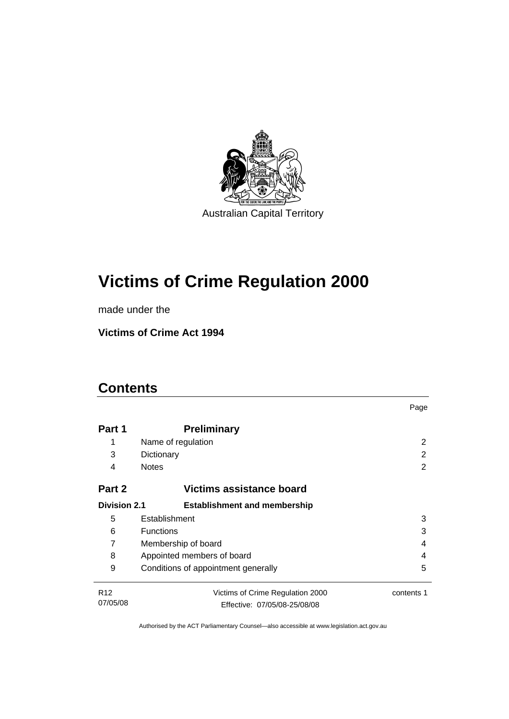

# **[Victims of Crime Regulation 2000](#page-6-0)**

made under the

**[Victims of Crime Act 1994](#page-6-0)** 

### **Contents**

|                     |                                     | Page       |
|---------------------|-------------------------------------|------------|
| Part 1              | <b>Preliminary</b>                  |            |
| 1                   | Name of regulation                  | 2          |
| 3                   | Dictionary                          | 2          |
| 4                   | <b>Notes</b>                        | 2          |
| Part 2              | Victims assistance board            |            |
| <b>Division 2.1</b> | <b>Establishment and membership</b> |            |
| 5                   | Establishment                       | 3          |
| 6                   | <b>Functions</b>                    | 3          |
| 7                   | Membership of board<br>4            |            |
| 8                   | Appointed members of board<br>4     |            |
| 9                   | Conditions of appointment generally | 5          |
| R <sub>12</sub>     | Victims of Crime Regulation 2000    | contents 1 |
| 07/05/08            | Effective: 07/05/08-25/08/08        |            |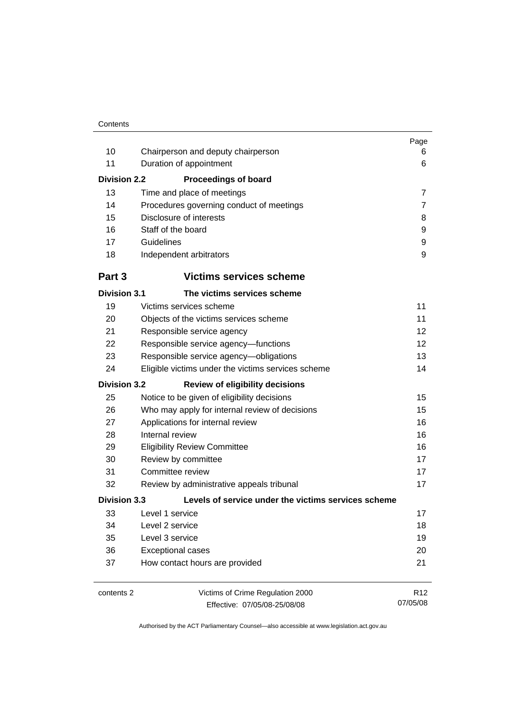|                     |                                                     | Page            |
|---------------------|-----------------------------------------------------|-----------------|
| 10                  | Chairperson and deputy chairperson                  | 6               |
| 11                  | Duration of appointment                             | 6               |
| <b>Division 2.2</b> | <b>Proceedings of board</b>                         |                 |
| 13                  | Time and place of meetings                          | $\overline{7}$  |
| 14                  | Procedures governing conduct of meetings            | 7               |
| 15                  | Disclosure of interests                             | 8               |
| 16                  | Staff of the board                                  | 9               |
| 17                  | Guidelines                                          | 9               |
| 18                  | Independent arbitrators                             | 9               |
| Part 3              | <b>Victims services scheme</b>                      |                 |
| <b>Division 3.1</b> | The victims services scheme                         |                 |
| 19                  | Victims services scheme                             | 11              |
| 20                  | Objects of the victims services scheme              | 11              |
| 21                  | Responsible service agency                          | 12              |
| 22                  | Responsible service agency-functions                | 12              |
| 23                  | Responsible service agency-obligations              | 13              |
| 24                  | Eligible victims under the victims services scheme  | 14              |
| <b>Division 3.2</b> | <b>Review of eligibility decisions</b>              |                 |
| 25                  | Notice to be given of eligibility decisions         | 15              |
| 26                  | Who may apply for internal review of decisions      | 15              |
| 27                  | Applications for internal review                    | 16              |
| 28                  | Internal review                                     | 16              |
| 29                  | <b>Eligibility Review Committee</b>                 | 16              |
| 30                  | Review by committee                                 | 17              |
| 31                  | Committee review                                    | 17              |
| 32                  | Review by administrative appeals tribunal           | 17              |
| <b>Division 3.3</b> | Levels of service under the victims services scheme |                 |
| 33                  | Level 1 service                                     | 17              |
| 34                  | Level 2 service                                     | 18              |
| 35                  | Level 3 service                                     | 19              |
| 36                  | <b>Exceptional cases</b>                            | 20              |
| 37                  | How contact hours are provided                      | 21              |
| contents 2          | Victims of Crime Regulation 2000                    | R <sub>12</sub> |
|                     | Effective: 07/05/08-25/08/08                        | 07/05/08        |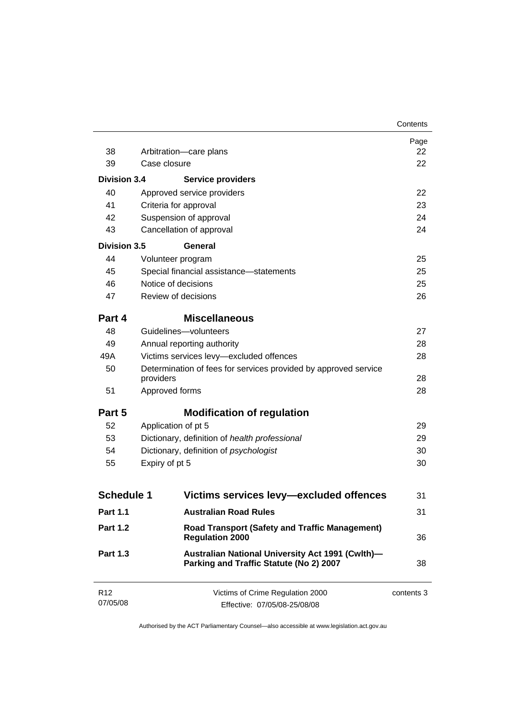|                             |                                                                                             | Contents   |
|-----------------------------|---------------------------------------------------------------------------------------------|------------|
|                             |                                                                                             | Page       |
| 38                          | Arbitration-care plans                                                                      | 22         |
| 39                          | Case closure                                                                                | 22         |
| <b>Division 3.4</b>         | Service providers                                                                           |            |
| 40                          | Approved service providers                                                                  | 22         |
| 41                          | Criteria for approval                                                                       | 23         |
| 42                          | Suspension of approval                                                                      | 24         |
| 43                          | Cancellation of approval                                                                    | 24         |
| <b>Division 3.5</b>         | General                                                                                     |            |
| 44                          | Volunteer program                                                                           | 25         |
| 45                          | Special financial assistance-statements                                                     | 25         |
| 46                          | Notice of decisions                                                                         | 25         |
| 47                          | Review of decisions                                                                         | 26         |
| Part 4                      | <b>Miscellaneous</b>                                                                        |            |
| 48                          | Guidelines-volunteers                                                                       | 27         |
| 49                          | Annual reporting authority                                                                  | 28         |
| 49A                         | Victims services levy-excluded offences                                                     | 28         |
| 50                          | Determination of fees for services provided by approved service<br>providers                | 28         |
| 51                          | Approved forms                                                                              | 28         |
| Part 5                      | <b>Modification of regulation</b>                                                           |            |
| 52                          | Application of pt 5                                                                         | 29         |
| 53                          | Dictionary, definition of health professional                                               | 29         |
| 54                          | Dictionary, definition of psychologist                                                      | 30         |
| 55                          | Expiry of pt 5                                                                              | 30         |
|                             |                                                                                             |            |
| <b>Schedule 1</b>           | Victims services levy-excluded offences                                                     | 31         |
| <b>Part 1.1</b>             | <b>Australian Road Rules</b>                                                                | 31         |
| <b>Part 1.2</b>             | <b>Road Transport (Safety and Traffic Management)</b><br><b>Regulation 2000</b>             | 36         |
| <b>Part 1.3</b>             | Australian National University Act 1991 (Cwlth)-<br>Parking and Traffic Statute (No 2) 2007 | 38         |
| R <sub>12</sub><br>07/05/08 | Victims of Crime Regulation 2000<br>Effective: 07/05/08-25/08/08                            | contents 3 |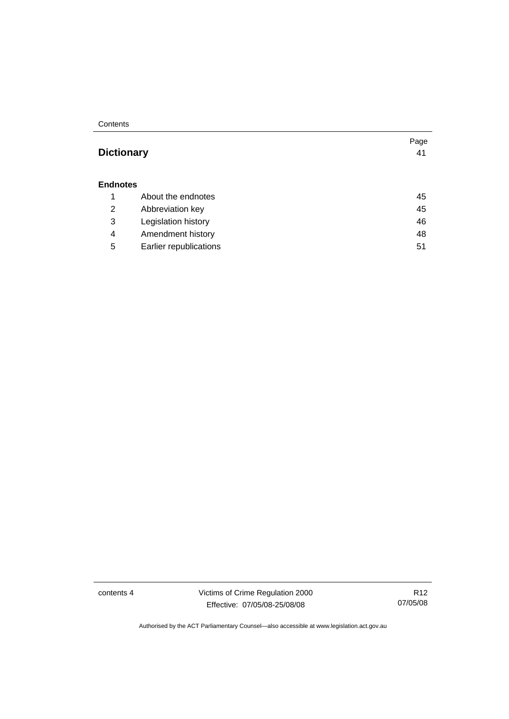**Contents** 

### **Dictionary** [41](#page-46-0)

#### **Endnotes**

|   | About the endnotes     | 45 |
|---|------------------------|----|
| 2 | Abbreviation key       | 45 |
| 3 | Legislation history    | 46 |
| 4 | Amendment history      | 48 |
| 5 | Earlier republications | 51 |

contents 4 Victims of Crime Regulation 2000 Effective: 07/05/08-25/08/08

R12 07/05/08

Page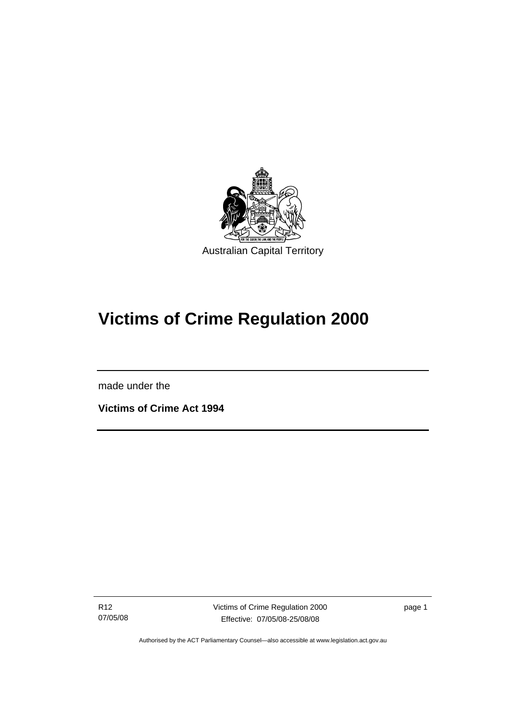<span id="page-6-0"></span>

# **Victims of Crime Regulation 2000**

made under the

I

**Victims of Crime Act 1994** 

R12 07/05/08 Victims of Crime Regulation 2000 Effective: 07/05/08-25/08/08

page 1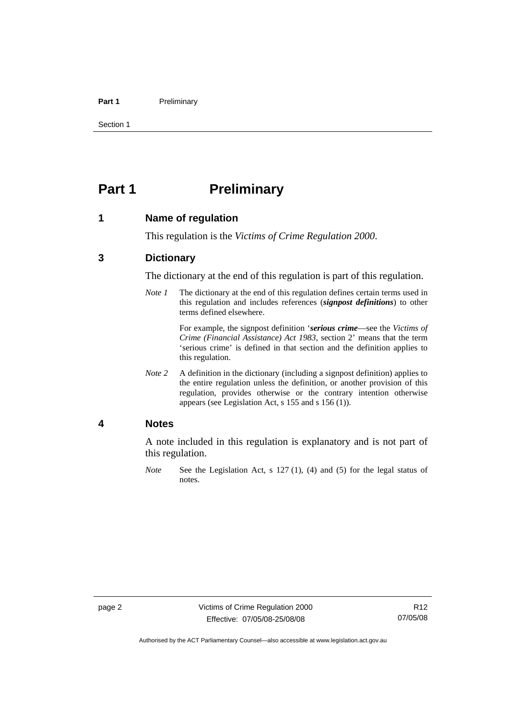#### <span id="page-7-0"></span>Part 1 **Preliminary**

Section 1

### **Part 1** Preliminary

#### **1 Name of regulation**

This regulation is the *Victims of Crime Regulation 2000*.

### **3 Dictionary**

The dictionary at the end of this regulation is part of this regulation.

*Note 1* The dictionary at the end of this regulation defines certain terms used in this regulation and includes references (*signpost definitions*) to other terms defined elsewhere.

> For example, the signpost definition '*serious crime*—see the *Victims of Crime (Financial Assistance) Act 1983*, section 2' means that the term 'serious crime' is defined in that section and the definition applies to this regulation.

*Note* 2 A definition in the dictionary (including a signpost definition) applies to the entire regulation unless the definition, or another provision of this regulation, provides otherwise or the contrary intention otherwise appears (see Legislation Act, s 155 and s 156 (1)).

#### **4 Notes**

A note included in this regulation is explanatory and is not part of this regulation.

*Note* See the Legislation Act, s 127 (1), (4) and (5) for the legal status of notes.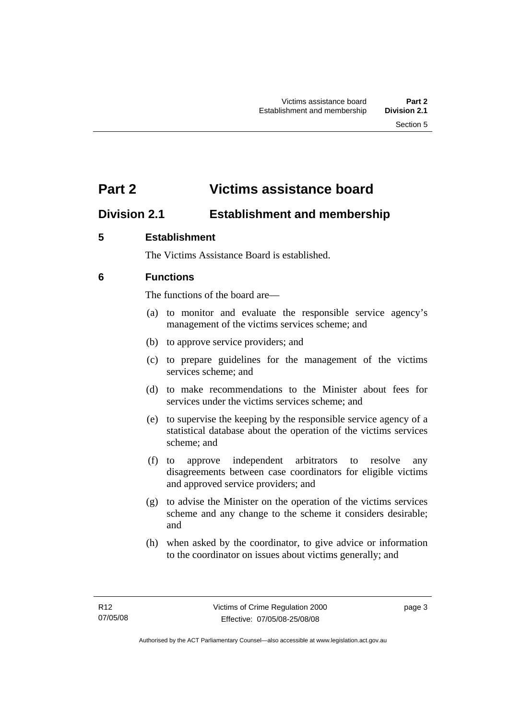### <span id="page-8-0"></span>**Part 2 Victims assistance board**

### **Division 2.1 Establishment and membership**

### **5 Establishment**

The Victims Assistance Board is established.

### **6 Functions**

The functions of the board are—

- (a) to monitor and evaluate the responsible service agency's management of the victims services scheme; and
- (b) to approve service providers; and
- (c) to prepare guidelines for the management of the victims services scheme; and
- (d) to make recommendations to the Minister about fees for services under the victims services scheme; and
- (e) to supervise the keeping by the responsible service agency of a statistical database about the operation of the victims services scheme; and
- (f) to approve independent arbitrators to resolve any disagreements between case coordinators for eligible victims and approved service providers; and
- (g) to advise the Minister on the operation of the victims services scheme and any change to the scheme it considers desirable; and
- (h) when asked by the coordinator, to give advice or information to the coordinator on issues about victims generally; and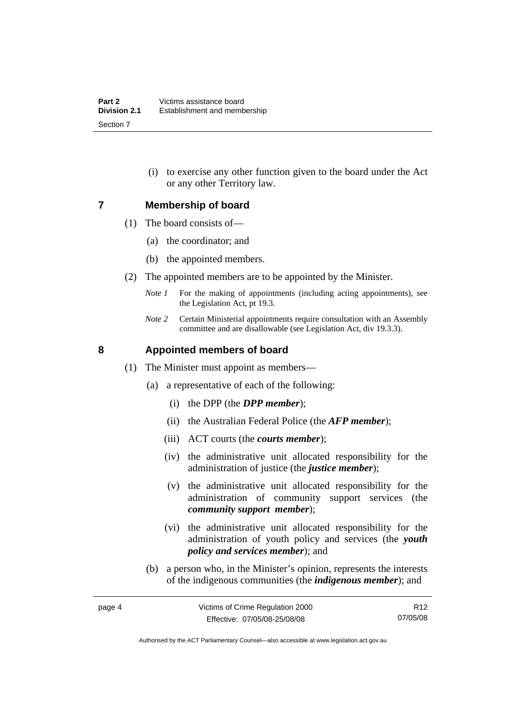(i) to exercise any other function given to the board under the Act or any other Territory law.

### <span id="page-9-0"></span>**7 Membership of board**

- (1) The board consists of—
	- (a) the coordinator; and
	- (b) the appointed members.
- (2) The appointed members are to be appointed by the Minister.
	- *Note 1* For the making of appointments (including acting appointments), see the Legislation Act, pt 19.3.
	- *Note 2* Certain Ministerial appointments require consultation with an Assembly committee and are disallowable (see Legislation Act, div 19.3.3).

### **8 Appointed members of board**

- (1) The Minister must appoint as members—
	- (a) a representative of each of the following:
		- (i) the DPP (the *DPP member*);
		- (ii) the Australian Federal Police (the *AFP member*);
		- (iii) ACT courts (the *courts member*);
		- (iv) the administrative unit allocated responsibility for the administration of justice (the *justice member*);
		- (v) the administrative unit allocated responsibility for the administration of community support services (the *community support member*);
		- (vi) the administrative unit allocated responsibility for the administration of youth policy and services (the *youth policy and services member*); and
	- (b) a person who, in the Minister's opinion, represents the interests of the indigenous communities (the *indigenous member*); and

R12 07/05/08

Authorised by the ACT Parliamentary Counsel—also accessible at www.legislation.act.gov.au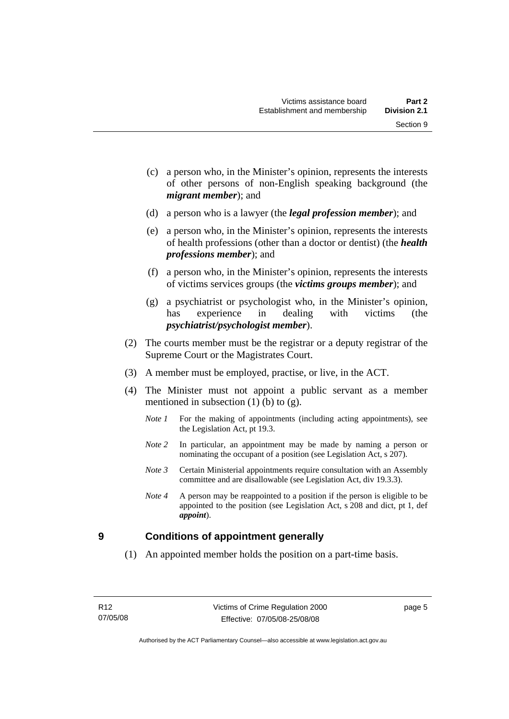Section 9

- <span id="page-10-0"></span> (c) a person who, in the Minister's opinion, represents the interests of other persons of non-English speaking background (the
- (d) a person who is a lawyer (the *legal profession member*); and

*migrant member*); and

- (e) a person who, in the Minister's opinion, represents the interests of health professions (other than a doctor or dentist) (the *health professions member*); and
- (f) a person who, in the Minister's opinion, represents the interests of victims services groups (the *victims groups member*); and
- (g) a psychiatrist or psychologist who, in the Minister's opinion, has experience in dealing with victims (the *psychiatrist/psychologist member*).
- (2) The courts member must be the registrar or a deputy registrar of the Supreme Court or the Magistrates Court.
- (3) A member must be employed, practise, or live, in the ACT.
- (4) The Minister must not appoint a public servant as a member mentioned in subsection  $(1)$  (b) to  $(g)$ .
	- *Note 1* For the making of appointments (including acting appointments), see the Legislation Act, pt 19.3.
	- *Note 2* In particular, an appointment may be made by naming a person or nominating the occupant of a position (see Legislation Act, s 207).
	- *Note 3* Certain Ministerial appointments require consultation with an Assembly committee and are disallowable (see Legislation Act, div 19.3.3).
	- *Note 4* A person may be reappointed to a position if the person is eligible to be appointed to the position (see Legislation Act, s 208 and dict, pt 1, def *appoint*).

### **9 Conditions of appointment generally**

(1) An appointed member holds the position on a part-time basis.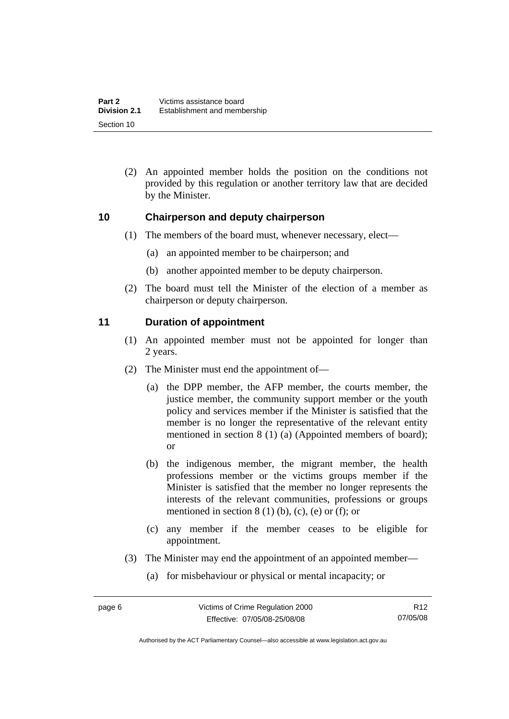<span id="page-11-0"></span> (2) An appointed member holds the position on the conditions not provided by this regulation or another territory law that are decided by the Minister.

### **10 Chairperson and deputy chairperson**

- (1) The members of the board must, whenever necessary, elect—
	- (a) an appointed member to be chairperson; and
	- (b) another appointed member to be deputy chairperson.
- (2) The board must tell the Minister of the election of a member as chairperson or deputy chairperson.

### **11 Duration of appointment**

- (1) An appointed member must not be appointed for longer than 2 years.
- (2) The Minister must end the appointment of—
	- (a) the DPP member, the AFP member, the courts member, the justice member, the community support member or the youth policy and services member if the Minister is satisfied that the member is no longer the representative of the relevant entity mentioned in section 8 (1) (a) (Appointed members of board); or
	- (b) the indigenous member, the migrant member, the health professions member or the victims groups member if the Minister is satisfied that the member no longer represents the interests of the relevant communities, professions or groups mentioned in section  $8(1)(b)$ , (c), (e) or (f); or
	- (c) any member if the member ceases to be eligible for appointment.
- (3) The Minister may end the appointment of an appointed member—
	- (a) for misbehaviour or physical or mental incapacity; or

Authorised by the ACT Parliamentary Counsel—also accessible at www.legislation.act.gov.au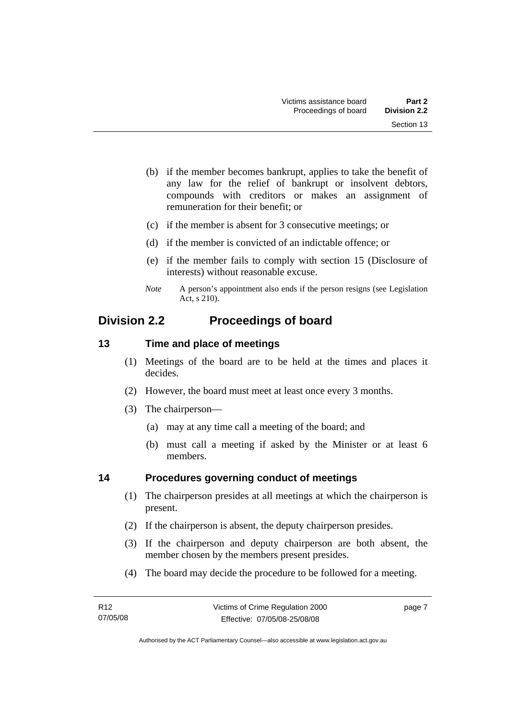- <span id="page-12-0"></span> (b) if the member becomes bankrupt, applies to take the benefit of any law for the relief of bankrupt or insolvent debtors, compounds with creditors or makes an assignment of remuneration for their benefit; or
- (c) if the member is absent for 3 consecutive meetings; or
- (d) if the member is convicted of an indictable offence; or
- (e) if the member fails to comply with section 15 (Disclosure of interests) without reasonable excuse.
- *Note* A person's appointment also ends if the person resigns (see Legislation Act, s 210).

### **Division 2.2 Proceedings of board**

### **13 Time and place of meetings**

- (1) Meetings of the board are to be held at the times and places it decides.
- (2) However, the board must meet at least once every 3 months.
- (3) The chairperson—
	- (a) may at any time call a meeting of the board; and
	- (b) must call a meeting if asked by the Minister or at least 6 members.

### **14 Procedures governing conduct of meetings**

- (1) The chairperson presides at all meetings at which the chairperson is present.
- (2) If the chairperson is absent, the deputy chairperson presides.
- (3) If the chairperson and deputy chairperson are both absent, the member chosen by the members present presides.
- (4) The board may decide the procedure to be followed for a meeting.

page 7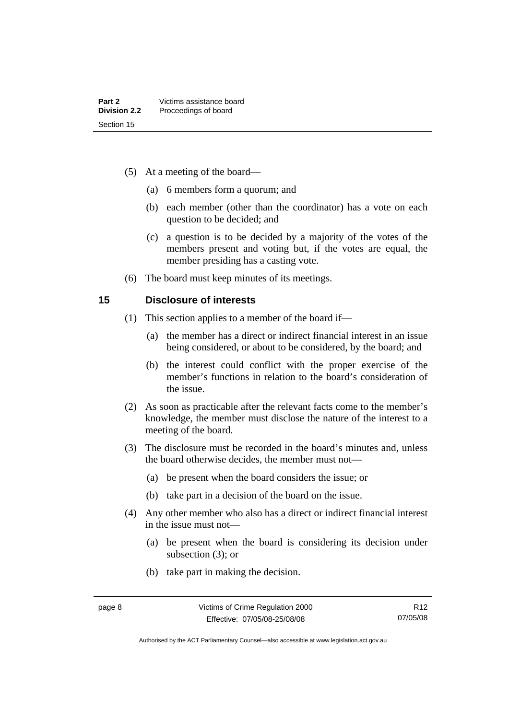- <span id="page-13-0"></span> (5) At a meeting of the board—
	- (a) 6 members form a quorum; and
	- (b) each member (other than the coordinator) has a vote on each question to be decided; and
	- (c) a question is to be decided by a majority of the votes of the members present and voting but, if the votes are equal, the member presiding has a casting vote.
- (6) The board must keep minutes of its meetings.

#### **15 Disclosure of interests**

- (1) This section applies to a member of the board if—
	- (a) the member has a direct or indirect financial interest in an issue being considered, or about to be considered, by the board; and
	- (b) the interest could conflict with the proper exercise of the member's functions in relation to the board's consideration of the issue.
- (2) As soon as practicable after the relevant facts come to the member's knowledge, the member must disclose the nature of the interest to a meeting of the board.
- (3) The disclosure must be recorded in the board's minutes and, unless the board otherwise decides, the member must not—
	- (a) be present when the board considers the issue; or
	- (b) take part in a decision of the board on the issue.
- (4) Any other member who also has a direct or indirect financial interest in the issue must not—
	- (a) be present when the board is considering its decision under subsection (3); or
	- (b) take part in making the decision.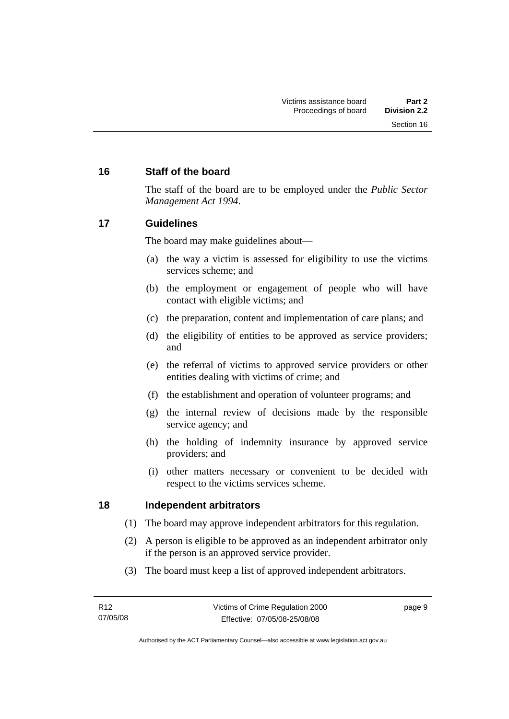### <span id="page-14-0"></span>**16 Staff of the board**

The staff of the board are to be employed under the *Public Sector Management Act 1994*.

### **17 Guidelines**

The board may make guidelines about—

- (a) the way a victim is assessed for eligibility to use the victims services scheme; and
- (b) the employment or engagement of people who will have contact with eligible victims; and
- (c) the preparation, content and implementation of care plans; and
- (d) the eligibility of entities to be approved as service providers; and
- (e) the referral of victims to approved service providers or other entities dealing with victims of crime; and
- (f) the establishment and operation of volunteer programs; and
- (g) the internal review of decisions made by the responsible service agency; and
- (h) the holding of indemnity insurance by approved service providers; and
- (i) other matters necessary or convenient to be decided with respect to the victims services scheme.

### **18 Independent arbitrators**

- (1) The board may approve independent arbitrators for this regulation.
- (2) A person is eligible to be approved as an independent arbitrator only if the person is an approved service provider.
- (3) The board must keep a list of approved independent arbitrators.

page 9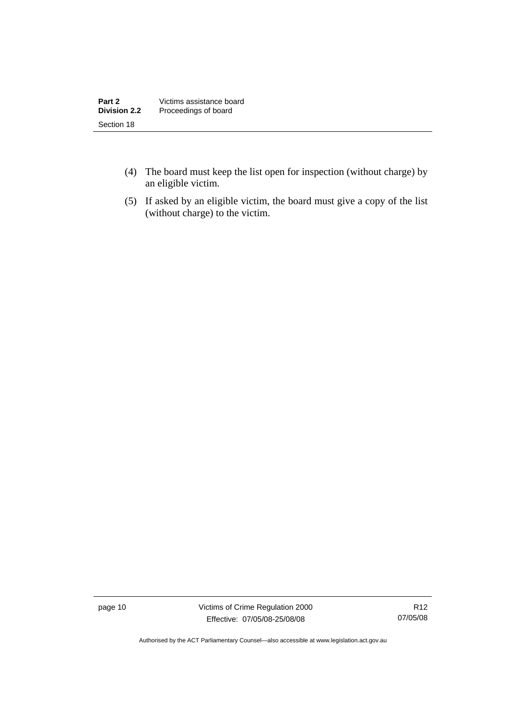| Part 2              | Victims assistance board |
|---------------------|--------------------------|
| <b>Division 2.2</b> | Proceedings of board     |
| Section 18          |                          |

- (4) The board must keep the list open for inspection (without charge) by an eligible victim.
- (5) If asked by an eligible victim, the board must give a copy of the list (without charge) to the victim.

page 10 Victims of Crime Regulation 2000 Effective: 07/05/08-25/08/08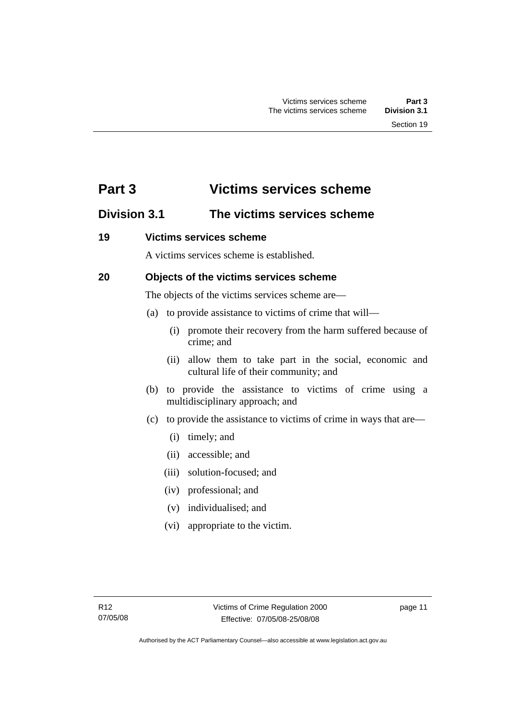### <span id="page-16-0"></span>**Part 3 Victims services scheme**

### **Division 3.1 The victims services scheme**

### **19 Victims services scheme**

A victims services scheme is established.

### **20 Objects of the victims services scheme**

The objects of the victims services scheme are—

- (a) to provide assistance to victims of crime that will—
	- (i) promote their recovery from the harm suffered because of crime; and
	- (ii) allow them to take part in the social, economic and cultural life of their community; and
- (b) to provide the assistance to victims of crime using a multidisciplinary approach; and
- (c) to provide the assistance to victims of crime in ways that are—
	- (i) timely; and
	- (ii) accessible; and
	- (iii) solution-focused; and
	- (iv) professional; and
	- (v) individualised; and
	- (vi) appropriate to the victim.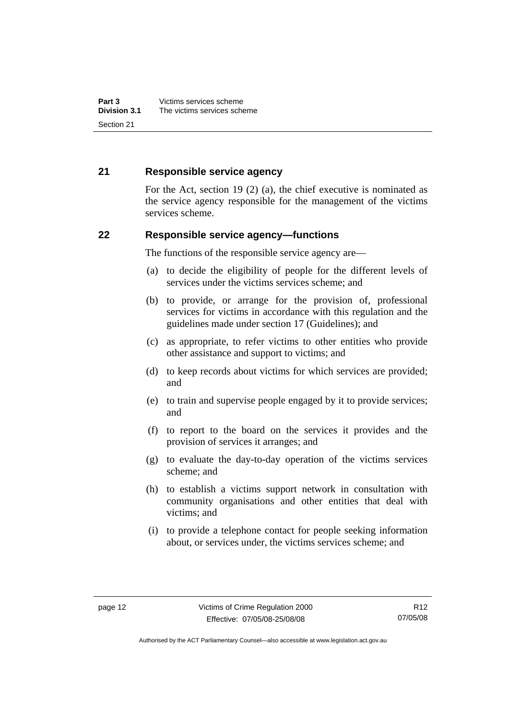### <span id="page-17-0"></span>**21 Responsible service agency**

For the Act, section 19 (2) (a), the chief executive is nominated as the service agency responsible for the management of the victims services scheme.

### **22 Responsible service agency—functions**

The functions of the responsible service agency are—

- (a) to decide the eligibility of people for the different levels of services under the victims services scheme; and
- (b) to provide, or arrange for the provision of, professional services for victims in accordance with this regulation and the guidelines made under section 17 (Guidelines); and
- (c) as appropriate, to refer victims to other entities who provide other assistance and support to victims; and
- (d) to keep records about victims for which services are provided; and
- (e) to train and supervise people engaged by it to provide services; and
- (f) to report to the board on the services it provides and the provision of services it arranges; and
- (g) to evaluate the day-to-day operation of the victims services scheme; and
- (h) to establish a victims support network in consultation with community organisations and other entities that deal with victims; and
- (i) to provide a telephone contact for people seeking information about, or services under, the victims services scheme; and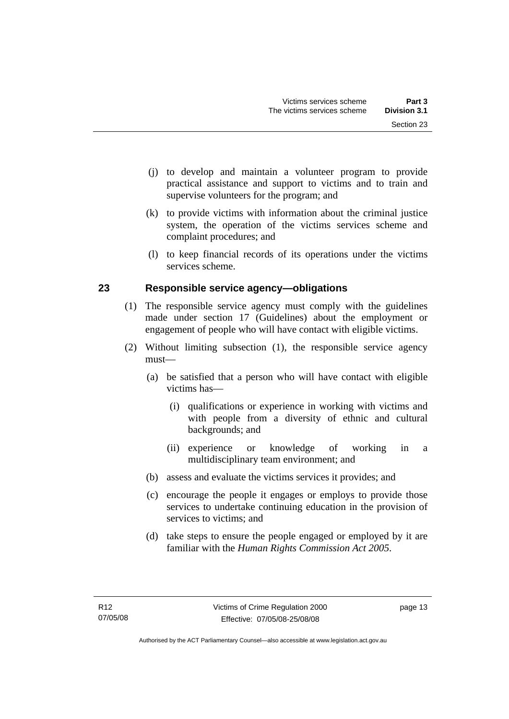- <span id="page-18-0"></span> (j) to develop and maintain a volunteer program to provide practical assistance and support to victims and to train and supervise volunteers for the program; and
- (k) to provide victims with information about the criminal justice system, the operation of the victims services scheme and complaint procedures; and
- (l) to keep financial records of its operations under the victims services scheme.

### **23 Responsible service agency—obligations**

- (1) The responsible service agency must comply with the guidelines made under section 17 (Guidelines) about the employment or engagement of people who will have contact with eligible victims.
- (2) Without limiting subsection (1), the responsible service agency must—
	- (a) be satisfied that a person who will have contact with eligible victims has—
		- (i) qualifications or experience in working with victims and with people from a diversity of ethnic and cultural backgrounds; and
		- (ii) experience or knowledge of working in a multidisciplinary team environment; and
	- (b) assess and evaluate the victims services it provides; and
	- (c) encourage the people it engages or employs to provide those services to undertake continuing education in the provision of services to victims; and
	- (d) take steps to ensure the people engaged or employed by it are familiar with the *Human Rights Commission Act 2005*.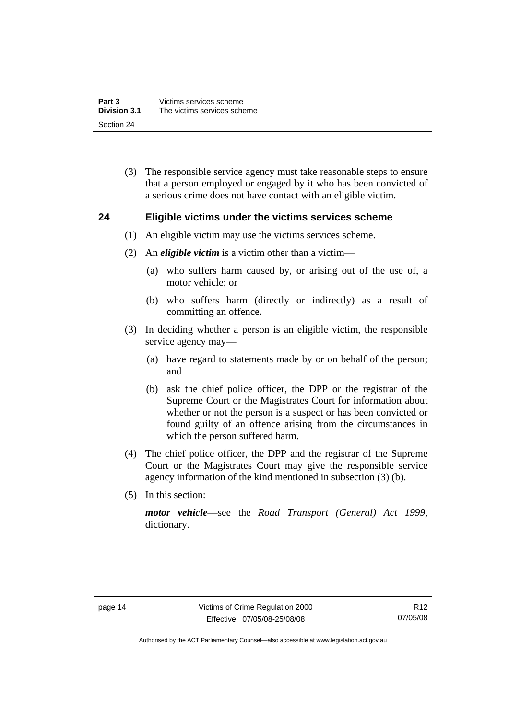<span id="page-19-0"></span> (3) The responsible service agency must take reasonable steps to ensure that a person employed or engaged by it who has been convicted of a serious crime does not have contact with an eligible victim.

### **24 Eligible victims under the victims services scheme**

- (1) An eligible victim may use the victims services scheme.
- (2) An *eligible victim* is a victim other than a victim—
	- (a) who suffers harm caused by, or arising out of the use of, a motor vehicle; or
	- (b) who suffers harm (directly or indirectly) as a result of committing an offence.
- (3) In deciding whether a person is an eligible victim, the responsible service agency may—
	- (a) have regard to statements made by or on behalf of the person; and
	- (b) ask the chief police officer, the DPP or the registrar of the Supreme Court or the Magistrates Court for information about whether or not the person is a suspect or has been convicted or found guilty of an offence arising from the circumstances in which the person suffered harm.
- (4) The chief police officer, the DPP and the registrar of the Supreme Court or the Magistrates Court may give the responsible service agency information of the kind mentioned in subsection (3) (b).
- (5) In this section:

*motor vehicle*—see the *Road Transport (General) Act 1999*, dictionary.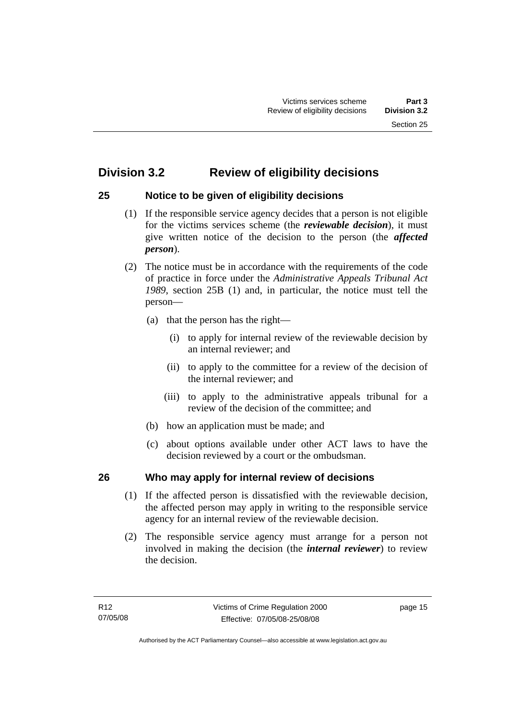### <span id="page-20-0"></span>**Division 3.2 Review of eligibility decisions**

### **25 Notice to be given of eligibility decisions**

- (1) If the responsible service agency decides that a person is not eligible for the victims services scheme (the *reviewable decision*), it must give written notice of the decision to the person (the *affected person*).
- (2) The notice must be in accordance with the requirements of the code of practice in force under the *Administrative Appeals Tribunal Act 1989*, section 25B (1) and, in particular, the notice must tell the person—
	- (a) that the person has the right—
		- (i) to apply for internal review of the reviewable decision by an internal reviewer; and
		- (ii) to apply to the committee for a review of the decision of the internal reviewer; and
		- (iii) to apply to the administrative appeals tribunal for a review of the decision of the committee; and
	- (b) how an application must be made; and
	- (c) about options available under other ACT laws to have the decision reviewed by a court or the ombudsman.

### **26 Who may apply for internal review of decisions**

- (1) If the affected person is dissatisfied with the reviewable decision, the affected person may apply in writing to the responsible service agency for an internal review of the reviewable decision.
- (2) The responsible service agency must arrange for a person not involved in making the decision (the *internal reviewer*) to review the decision.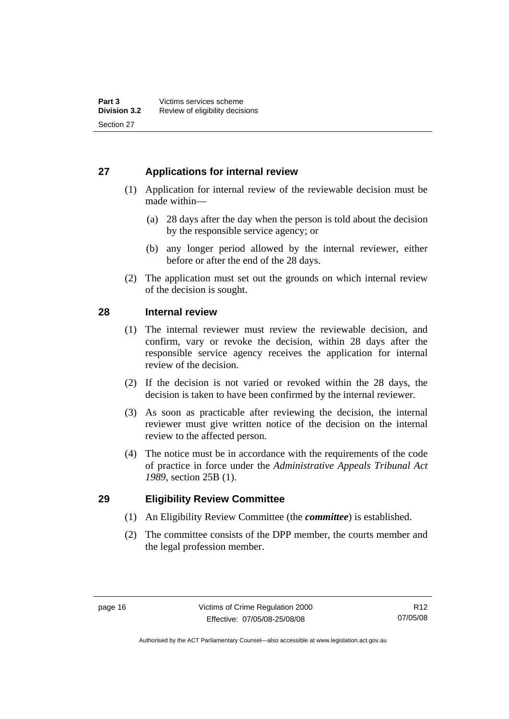### <span id="page-21-0"></span>**27 Applications for internal review**

- (1) Application for internal review of the reviewable decision must be made within—
	- (a) 28 days after the day when the person is told about the decision by the responsible service agency; or
	- (b) any longer period allowed by the internal reviewer, either before or after the end of the 28 days.
- (2) The application must set out the grounds on which internal review of the decision is sought.

### **28 Internal review**

- (1) The internal reviewer must review the reviewable decision, and confirm, vary or revoke the decision, within 28 days after the responsible service agency receives the application for internal review of the decision.
- (2) If the decision is not varied or revoked within the 28 days, the decision is taken to have been confirmed by the internal reviewer.
- (3) As soon as practicable after reviewing the decision, the internal reviewer must give written notice of the decision on the internal review to the affected person.
- (4) The notice must be in accordance with the requirements of the code of practice in force under the *Administrative Appeals Tribunal Act 1989*, section 25B (1).

### **29 Eligibility Review Committee**

- (1) An Eligibility Review Committee (the *committee*) is established.
- (2) The committee consists of the DPP member, the courts member and the legal profession member.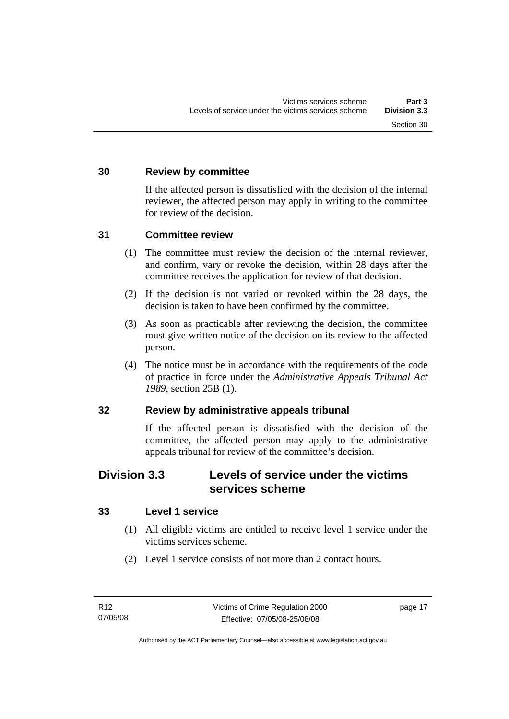### <span id="page-22-0"></span>**30 Review by committee**

If the affected person is dissatisfied with the decision of the internal reviewer, the affected person may apply in writing to the committee for review of the decision.

### **31 Committee review**

- (1) The committee must review the decision of the internal reviewer, and confirm, vary or revoke the decision, within 28 days after the committee receives the application for review of that decision.
- (2) If the decision is not varied or revoked within the 28 days, the decision is taken to have been confirmed by the committee.
- (3) As soon as practicable after reviewing the decision, the committee must give written notice of the decision on its review to the affected person.
- (4) The notice must be in accordance with the requirements of the code of practice in force under the *Administrative Appeals Tribunal Act 1989*, section 25B (1).

### **32 Review by administrative appeals tribunal**

If the affected person is dissatisfied with the decision of the committee, the affected person may apply to the administrative appeals tribunal for review of the committee's decision.

### **Division 3.3 Levels of service under the victims services scheme**

### **33 Level 1 service**

- (1) All eligible victims are entitled to receive level 1 service under the victims services scheme.
- (2) Level 1 service consists of not more than 2 contact hours.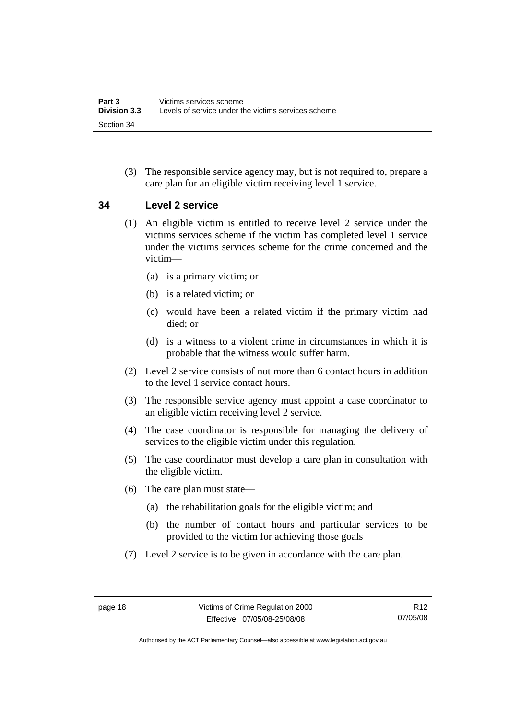<span id="page-23-0"></span> (3) The responsible service agency may, but is not required to, prepare a care plan for an eligible victim receiving level 1 service.

### **34 Level 2 service**

- (1) An eligible victim is entitled to receive level 2 service under the victims services scheme if the victim has completed level 1 service under the victims services scheme for the crime concerned and the victim—
	- (a) is a primary victim; or
	- (b) is a related victim; or
	- (c) would have been a related victim if the primary victim had died; or
	- (d) is a witness to a violent crime in circumstances in which it is probable that the witness would suffer harm.
- (2) Level 2 service consists of not more than 6 contact hours in addition to the level 1 service contact hours.
- (3) The responsible service agency must appoint a case coordinator to an eligible victim receiving level 2 service.
- (4) The case coordinator is responsible for managing the delivery of services to the eligible victim under this regulation.
- (5) The case coordinator must develop a care plan in consultation with the eligible victim.
- (6) The care plan must state—
	- (a) the rehabilitation goals for the eligible victim; and
	- (b) the number of contact hours and particular services to be provided to the victim for achieving those goals
- (7) Level 2 service is to be given in accordance with the care plan.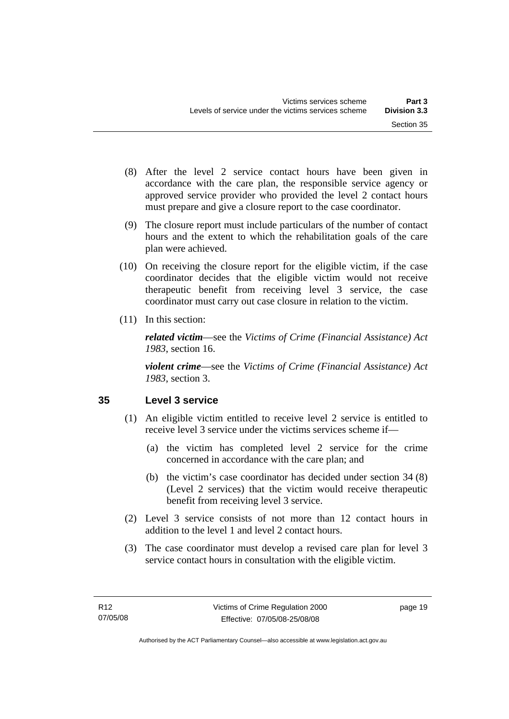- <span id="page-24-0"></span> (8) After the level 2 service contact hours have been given in accordance with the care plan, the responsible service agency or approved service provider who provided the level 2 contact hours must prepare and give a closure report to the case coordinator.
- (9) The closure report must include particulars of the number of contact hours and the extent to which the rehabilitation goals of the care plan were achieved.
- (10) On receiving the closure report for the eligible victim, if the case coordinator decides that the eligible victim would not receive therapeutic benefit from receiving level 3 service, the case coordinator must carry out case closure in relation to the victim.
- (11) In this section:

*related victim*—see the *Victims of Crime (Financial Assistance) Act 1983*, section 16.

*violent crime*—see the *Victims of Crime (Financial Assistance) Act 1983*, section 3.

### **35 Level 3 service**

- (1) An eligible victim entitled to receive level 2 service is entitled to receive level 3 service under the victims services scheme if—
	- (a) the victim has completed level 2 service for the crime concerned in accordance with the care plan; and
	- (b) the victim's case coordinator has decided under section 34 (8) (Level 2 services) that the victim would receive therapeutic benefit from receiving level 3 service.
- (2) Level 3 service consists of not more than 12 contact hours in addition to the level 1 and level 2 contact hours.
- (3) The case coordinator must develop a revised care plan for level 3 service contact hours in consultation with the eligible victim.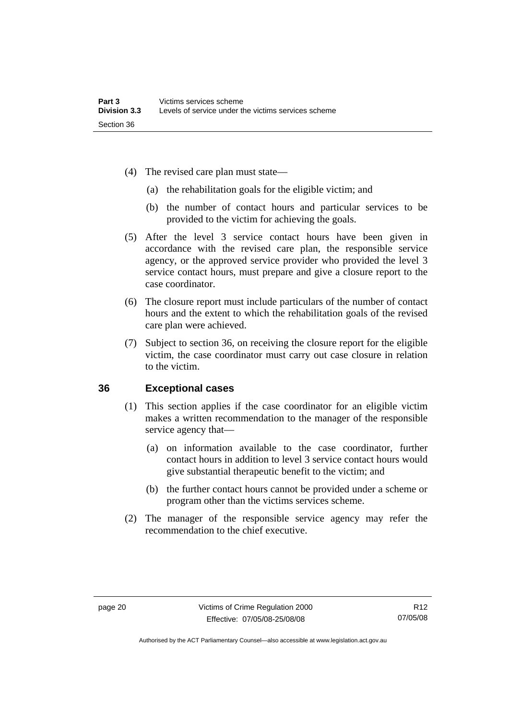- <span id="page-25-0"></span> (4) The revised care plan must state—
	- (a) the rehabilitation goals for the eligible victim; and
	- (b) the number of contact hours and particular services to be provided to the victim for achieving the goals.
- (5) After the level 3 service contact hours have been given in accordance with the revised care plan, the responsible service agency, or the approved service provider who provided the level 3 service contact hours, must prepare and give a closure report to the case coordinator.
- (6) The closure report must include particulars of the number of contact hours and the extent to which the rehabilitation goals of the revised care plan were achieved.
- (7) Subject to section 36, on receiving the closure report for the eligible victim, the case coordinator must carry out case closure in relation to the victim.

### **36 Exceptional cases**

- (1) This section applies if the case coordinator for an eligible victim makes a written recommendation to the manager of the responsible service agency that—
	- (a) on information available to the case coordinator, further contact hours in addition to level 3 service contact hours would give substantial therapeutic benefit to the victim; and
	- (b) the further contact hours cannot be provided under a scheme or program other than the victims services scheme.
- (2) The manager of the responsible service agency may refer the recommendation to the chief executive.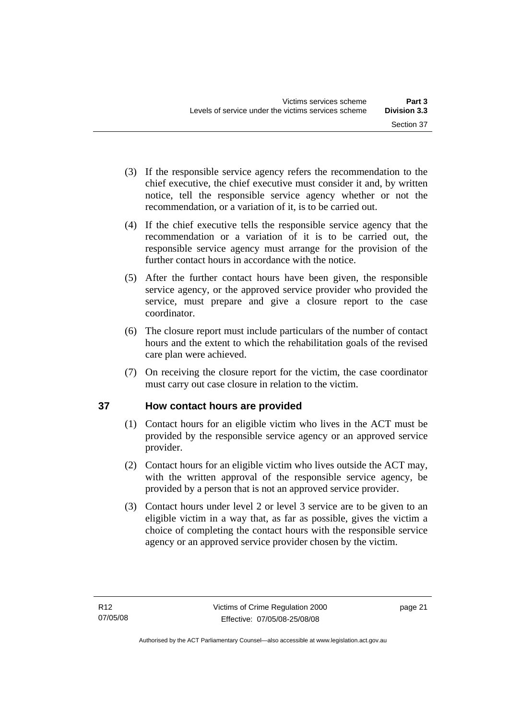- <span id="page-26-0"></span> (3) If the responsible service agency refers the recommendation to the chief executive, the chief executive must consider it and, by written notice, tell the responsible service agency whether or not the recommendation, or a variation of it, is to be carried out.
- (4) If the chief executive tells the responsible service agency that the recommendation or a variation of it is to be carried out, the responsible service agency must arrange for the provision of the further contact hours in accordance with the notice.
- (5) After the further contact hours have been given, the responsible service agency, or the approved service provider who provided the service, must prepare and give a closure report to the case coordinator.
- (6) The closure report must include particulars of the number of contact hours and the extent to which the rehabilitation goals of the revised care plan were achieved.
- (7) On receiving the closure report for the victim, the case coordinator must carry out case closure in relation to the victim.

### **37 How contact hours are provided**

- (1) Contact hours for an eligible victim who lives in the ACT must be provided by the responsible service agency or an approved service provider.
- (2) Contact hours for an eligible victim who lives outside the ACT may, with the written approval of the responsible service agency, be provided by a person that is not an approved service provider.
- (3) Contact hours under level 2 or level 3 service are to be given to an eligible victim in a way that, as far as possible, gives the victim a choice of completing the contact hours with the responsible service agency or an approved service provider chosen by the victim.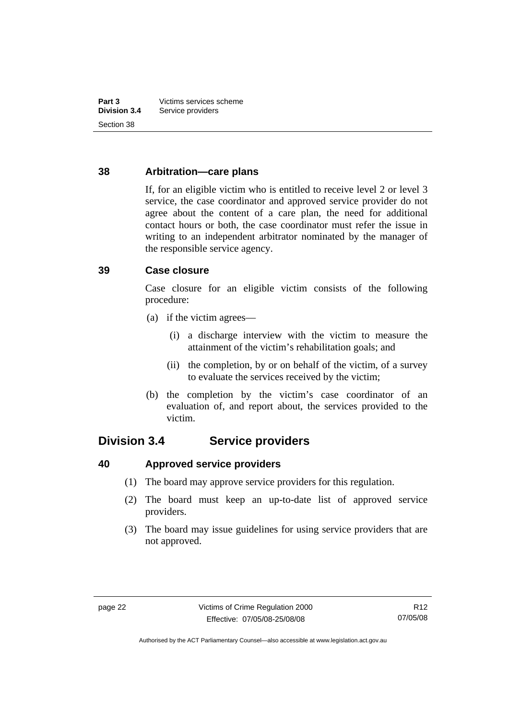### <span id="page-27-0"></span>**38 Arbitration—care plans**

If, for an eligible victim who is entitled to receive level 2 or level 3 service, the case coordinator and approved service provider do not agree about the content of a care plan, the need for additional contact hours or both, the case coordinator must refer the issue in writing to an independent arbitrator nominated by the manager of the responsible service agency.

### **39 Case closure**

Case closure for an eligible victim consists of the following procedure:

- (a) if the victim agrees—
	- (i) a discharge interview with the victim to measure the attainment of the victim's rehabilitation goals; and
	- (ii) the completion, by or on behalf of the victim, of a survey to evaluate the services received by the victim;
- (b) the completion by the victim's case coordinator of an evaluation of, and report about, the services provided to the victim.

### **Division 3.4 Service providers**

**40 Approved service providers** 

- (1) The board may approve service providers for this regulation.
- (2) The board must keep an up-to-date list of approved service providers.
- (3) The board may issue guidelines for using service providers that are not approved.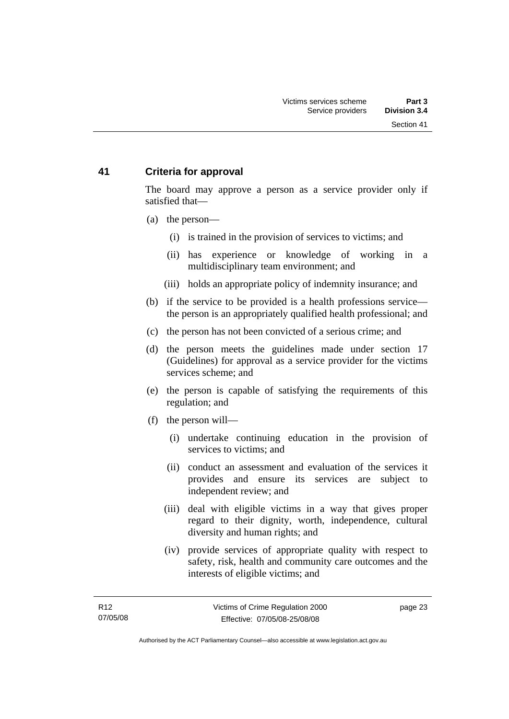### <span id="page-28-0"></span>**41 Criteria for approval**

The board may approve a person as a service provider only if satisfied that—

- (a) the person—
	- (i) is trained in the provision of services to victims; and
	- (ii) has experience or knowledge of working in a multidisciplinary team environment; and
	- (iii) holds an appropriate policy of indemnity insurance; and
- (b) if the service to be provided is a health professions service the person is an appropriately qualified health professional; and
- (c) the person has not been convicted of a serious crime; and
- (d) the person meets the guidelines made under section 17 (Guidelines) for approval as a service provider for the victims services scheme; and
- (e) the person is capable of satisfying the requirements of this regulation; and
- (f) the person will—
	- (i) undertake continuing education in the provision of services to victims; and
	- (ii) conduct an assessment and evaluation of the services it provides and ensure its services are subject to independent review; and
	- (iii) deal with eligible victims in a way that gives proper regard to their dignity, worth, independence, cultural diversity and human rights; and
	- (iv) provide services of appropriate quality with respect to safety, risk, health and community care outcomes and the interests of eligible victims; and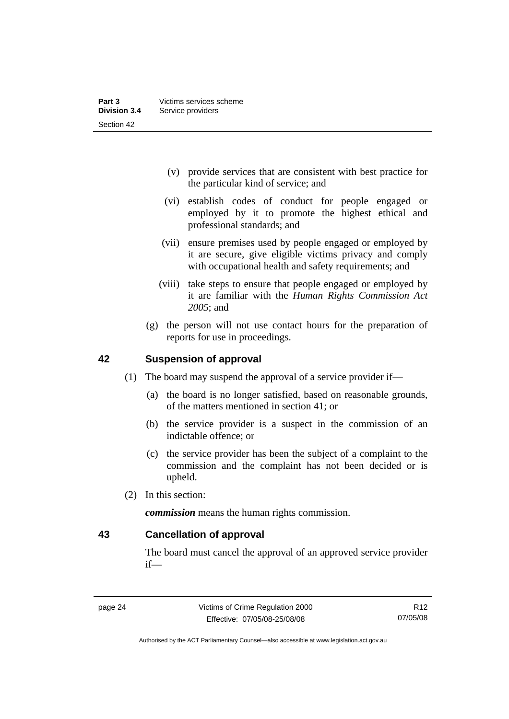- <span id="page-29-0"></span> (v) provide services that are consistent with best practice for the particular kind of service; and
- (vi) establish codes of conduct for people engaged or employed by it to promote the highest ethical and professional standards; and
- (vii) ensure premises used by people engaged or employed by it are secure, give eligible victims privacy and comply with occupational health and safety requirements; and
- (viii) take steps to ensure that people engaged or employed by it are familiar with the *Human Rights Commission Act 2005*; and
- (g) the person will not use contact hours for the preparation of reports for use in proceedings.

### **42 Suspension of approval**

- (1) The board may suspend the approval of a service provider if—
	- (a) the board is no longer satisfied, based on reasonable grounds, of the matters mentioned in section 41; or
	- (b) the service provider is a suspect in the commission of an indictable offence; or
	- (c) the service provider has been the subject of a complaint to the commission and the complaint has not been decided or is upheld.
- (2) In this section:

*commission* means the human rights commission.

**43 Cancellation of approval** 

The board must cancel the approval of an approved service provider if—

Authorised by the ACT Parliamentary Counsel—also accessible at www.legislation.act.gov.au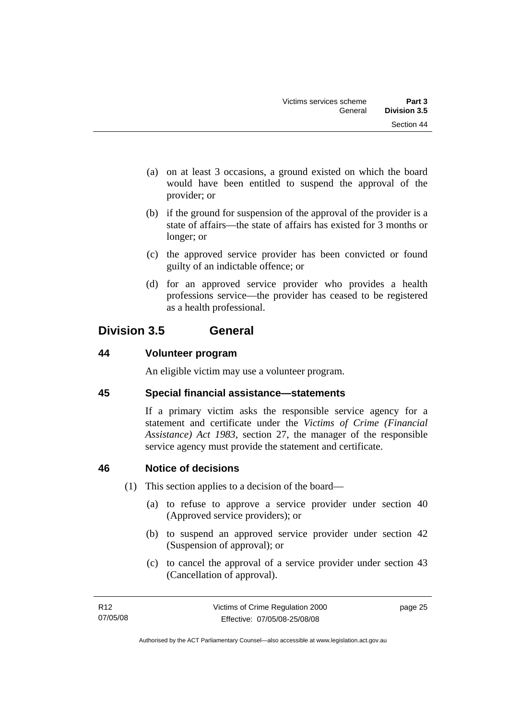- <span id="page-30-0"></span> (a) on at least 3 occasions, a ground existed on which the board would have been entitled to suspend the approval of the provider; or
- (b) if the ground for suspension of the approval of the provider is a state of affairs—the state of affairs has existed for 3 months or longer; or
- (c) the approved service provider has been convicted or found guilty of an indictable offence; or
- (d) for an approved service provider who provides a health professions service—the provider has ceased to be registered as a health professional.

### **Division 3.5 General**

### **44 Volunteer program**

An eligible victim may use a volunteer program.

### **45 Special financial assistance—statements**

If a primary victim asks the responsible service agency for a statement and certificate under the *Victims of Crime (Financial Assistance) Act 1983*, section 27, the manager of the responsible service agency must provide the statement and certificate.

### **46 Notice of decisions**

- (1) This section applies to a decision of the board—
	- (a) to refuse to approve a service provider under section 40 (Approved service providers); or
	- (b) to suspend an approved service provider under section 42 (Suspension of approval); or
	- (c) to cancel the approval of a service provider under section 43 (Cancellation of approval).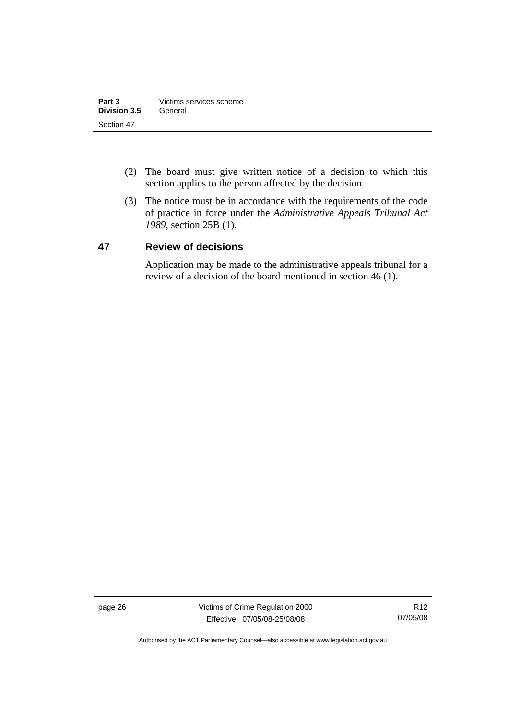- <span id="page-31-0"></span> (2) The board must give written notice of a decision to which this section applies to the person affected by the decision.
- (3) The notice must be in accordance with the requirements of the code of practice in force under the *Administrative Appeals Tribunal Act 1989*, section 25B (1).

### **47 Review of decisions**

Application may be made to the administrative appeals tribunal for a review of a decision of the board mentioned in section 46 (1).

page 26 Victims of Crime Regulation 2000 Effective: 07/05/08-25/08/08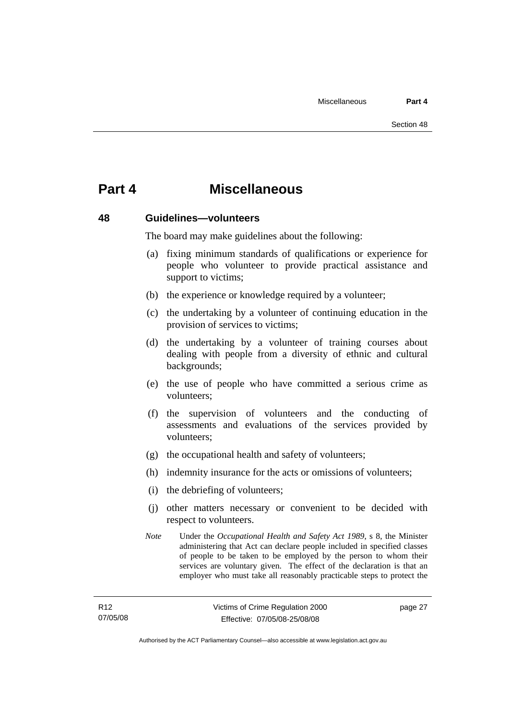### <span id="page-32-0"></span>**Part 4 Miscellaneous**

### **48 Guidelines—volunteers**

The board may make guidelines about the following:

- (a) fixing minimum standards of qualifications or experience for people who volunteer to provide practical assistance and support to victims;
- (b) the experience or knowledge required by a volunteer;
- (c) the undertaking by a volunteer of continuing education in the provision of services to victims;
- (d) the undertaking by a volunteer of training courses about dealing with people from a diversity of ethnic and cultural backgrounds;
- (e) the use of people who have committed a serious crime as volunteers;
- (f) the supervision of volunteers and the conducting of assessments and evaluations of the services provided by volunteers;
- (g) the occupational health and safety of volunteers;
- (h) indemnity insurance for the acts or omissions of volunteers;
- (i) the debriefing of volunteers;
- (j) other matters necessary or convenient to be decided with respect to volunteers.
- *Note* Under the *Occupational Health and Safety Act 1989*, s 8, the Minister administering that Act can declare people included in specified classes of people to be taken to be employed by the person to whom their services are voluntary given. The effect of the declaration is that an employer who must take all reasonably practicable steps to protect the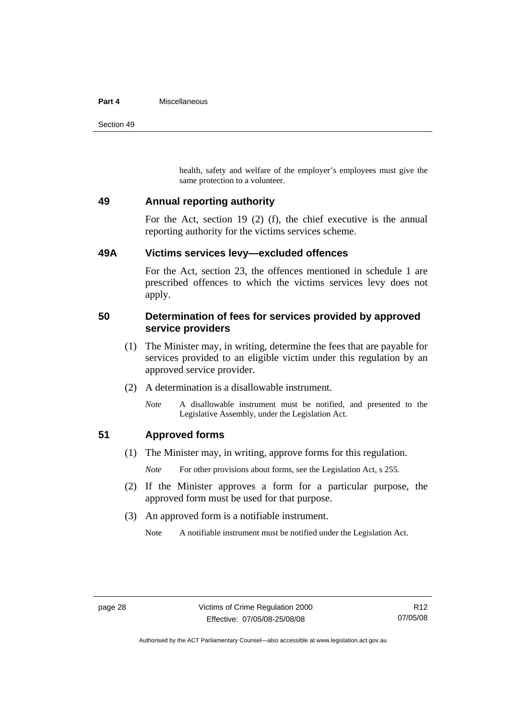#### <span id="page-33-0"></span>**Part 4** Miscellaneous

Section 49

health, safety and welfare of the employer's employees must give the same protection to a volunteer.

### **49 Annual reporting authority**

For the Act, section 19 (2) (f), the chief executive is the annual reporting authority for the victims services scheme.

### **49A Victims services levy—excluded offences**

For the Act, section 23, the offences mentioned in schedule 1 are prescribed offences to which the victims services levy does not apply.

### **50 Determination of fees for services provided by approved service providers**

- (1) The Minister may, in writing, determine the fees that are payable for services provided to an eligible victim under this regulation by an approved service provider.
- (2) A determination is a disallowable instrument.
	- *Note* A disallowable instrument must be notified, and presented to the Legislative Assembly, under the Legislation Act.

### **51 Approved forms**

(1) The Minister may, in writing, approve forms for this regulation.

*Note* For other provisions about forms, see the Legislation Act, s 255.

- (2) If the Minister approves a form for a particular purpose, the approved form must be used for that purpose.
- (3) An approved form is a notifiable instrument.

Note A notifiable instrument must be notified under the Legislation Act.

Authorised by the ACT Parliamentary Counsel—also accessible at www.legislation.act.gov.au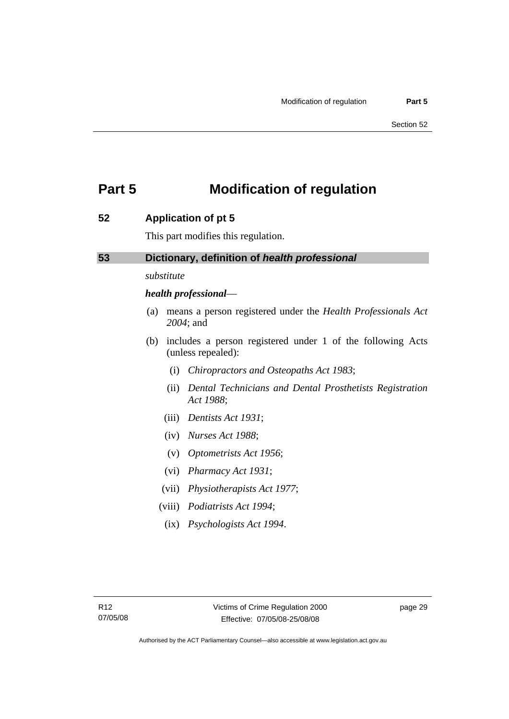### <span id="page-34-0"></span>**Part 5 Modification of regulation**

### **52 Application of pt 5**

This part modifies this regulation.

### **53 Dictionary, definition of** *health professional*

### *substitute*

#### *health professional*—

- (a) means a person registered under the *Health Professionals Act 2004*; and
- (b) includes a person registered under 1 of the following Acts (unless repealed):
	- (i) *Chiropractors and Osteopaths Act 1983*;
	- (ii) *Dental Technicians and Dental Prosthetists Registration Act 1988*;
	- (iii) *Dentists Act 1931*;
	- (iv) *Nurses Act 1988*;
	- (v) *Optometrists Act 1956*;
	- (vi) *Pharmacy Act 1931*;
	- (vii) *Physiotherapists Act 1977*;
	- (viii) *Podiatrists Act 1994*;
		- (ix) *Psychologists Act 1994*.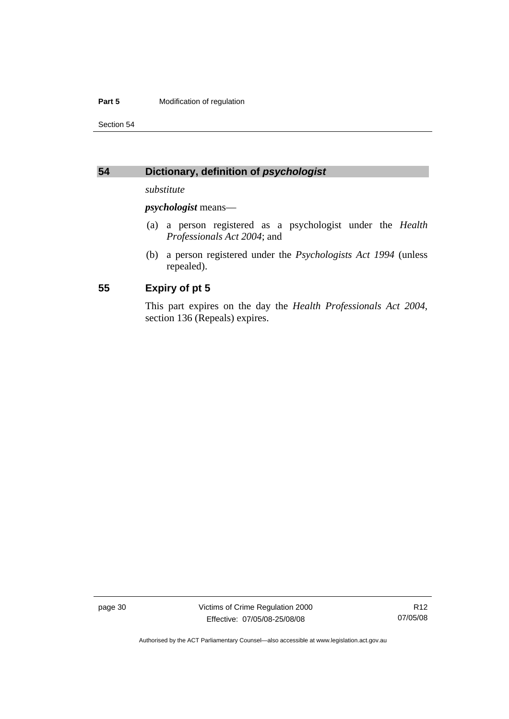#### <span id="page-35-0"></span>**Part 5 Modification of regulation**

Section 54

### **54 Dictionary, definition of** *psychologist*

*substitute* 

*psychologist* means—

- (a) a person registered as a psychologist under the *Health Professionals Act 2004*; and
- (b) a person registered under the *Psychologists Act 1994* (unless repealed).

### **55 Expiry of pt 5**

This part expires on the day the *Health Professionals Act 2004*, section 136 (Repeals) expires.

page 30 Victims of Crime Regulation 2000 Effective: 07/05/08-25/08/08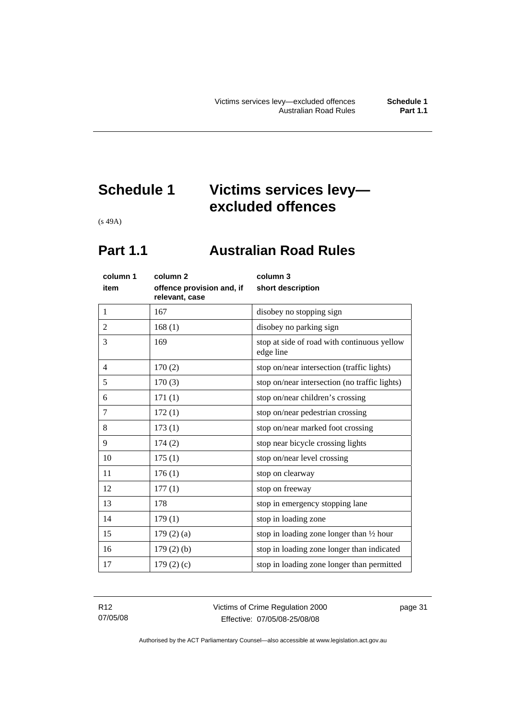## <span id="page-36-0"></span>**Schedule 1 Victims services levy excluded offences**

(s 49A)

### **Part 1.1 Australian Road Rules**

| column 1       | column 2                                    | column 3                                                 |
|----------------|---------------------------------------------|----------------------------------------------------------|
| item           | offence provision and, if<br>relevant, case | short description                                        |
| $\mathbf{1}$   | 167                                         | disobey no stopping sign                                 |
| $\overline{2}$ | 168(1)                                      | disobey no parking sign                                  |
| 3              | 169                                         | stop at side of road with continuous yellow<br>edge line |
| $\overline{4}$ | 170(2)                                      | stop on/near intersection (traffic lights)               |
| 5              | 170(3)                                      | stop on/near intersection (no traffic lights)            |
| 6              | 171(1)                                      | stop on/near children's crossing                         |
| 7              | 172(1)                                      | stop on/near pedestrian crossing                         |
| 8              | 173(1)                                      | stop on/near marked foot crossing                        |
| 9              | 174(2)                                      | stop near bicycle crossing lights                        |
| 10             | 175(1)                                      | stop on/near level crossing                              |
| 11             | 176(1)                                      | stop on clearway                                         |
| 12             | 177(1)                                      | stop on freeway                                          |
| 13             | 178                                         | stop in emergency stopping lane                          |
| 14             | 179(1)                                      | stop in loading zone                                     |
| 15             | 179(2)(a)                                   | stop in loading zone longer than $\frac{1}{2}$ hour      |
| 16             | $179(2)$ (b)                                | stop in loading zone longer than indicated               |
| 17             | 179(2)(c)                                   | stop in loading zone longer than permitted               |
|                |                                             |                                                          |

R12 07/05/08 Victims of Crime Regulation 2000 Effective: 07/05/08-25/08/08

page 31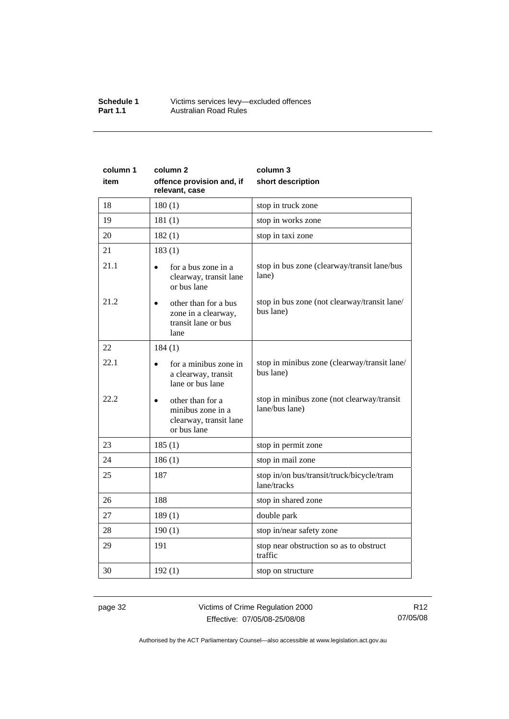#### **Schedule 1** Victims services levy—excluded offences **Part 1.1 Australian Road Rules**

| column 1 | column <sub>2</sub>                                                                     | column 3                                                     |
|----------|-----------------------------------------------------------------------------------------|--------------------------------------------------------------|
| item     | offence provision and, if<br>relevant, case                                             | short description                                            |
| 18       | 180(1)                                                                                  | stop in truck zone                                           |
| 19       | 181(1)                                                                                  | stop in works zone                                           |
| 20       | 182(1)                                                                                  | stop in taxi zone                                            |
| 21       | 183(1)                                                                                  |                                                              |
| 21.1     | for a bus zone in a<br>clearway, transit lane<br>or bus lane                            | stop in bus zone (clearway/transit lane/bus<br>lane)         |
| 21.2     | other than for a bus<br>$\bullet$<br>zone in a clearway,<br>transit lane or bus<br>lane | stop in bus zone (not clearway/transit lane/<br>bus lane)    |
| 22       | 184(1)                                                                                  |                                                              |
| 22.1     | for a minibus zone in<br>a clearway, transit<br>lane or bus lane                        | stop in minibus zone (clearway/transit lane/<br>bus lane)    |
| 22.2     | other than for a<br>minibus zone in a<br>clearway, transit lane<br>or bus lane          | stop in minibus zone (not clearway/transit<br>lane/bus lane) |
| 23       | 185(1)                                                                                  | stop in permit zone                                          |
| 24       | 186(1)                                                                                  | stop in mail zone                                            |
| 25       | 187                                                                                     | stop in/on bus/transit/truck/bicycle/tram<br>lane/tracks     |
| 26       | 188                                                                                     | stop in shared zone                                          |
| 27       | 189(1)                                                                                  | double park                                                  |
| 28       | 190(1)                                                                                  | stop in/near safety zone                                     |
| 29       | 191                                                                                     | stop near obstruction so as to obstruct<br>traffic           |
| 30       | 192(1)                                                                                  | stop on structure                                            |

page 32 Victims of Crime Regulation 2000 Effective: 07/05/08-25/08/08

R12 07/05/08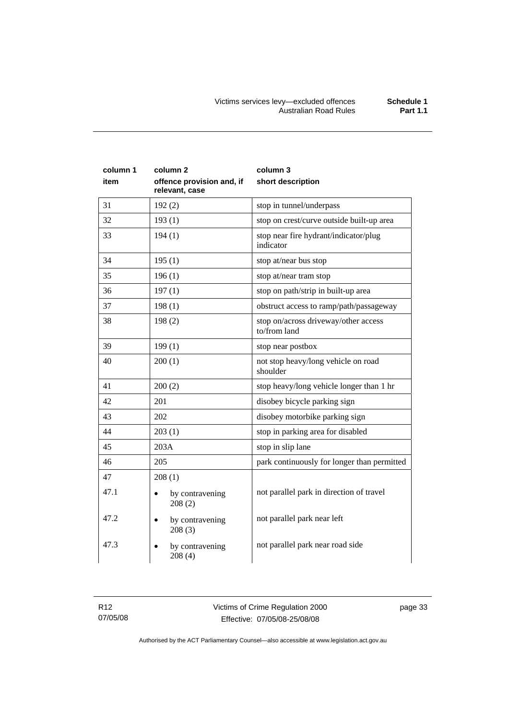| column 1<br>item | column 2<br>offence provision and, if<br>relevant, case | column 3<br>short description                        |
|------------------|---------------------------------------------------------|------------------------------------------------------|
| 31               | 192(2)                                                  | stop in tunnel/underpass                             |
| 32               | 193(1)                                                  | stop on crest/curve outside built-up area            |
| 33               | 194(1)                                                  | stop near fire hydrant/indicator/plug<br>indicator   |
| 34               | 195(1)                                                  | stop at/near bus stop                                |
| 35               | 196(1)                                                  | stop at/near tram stop                               |
| 36               | 197(1)                                                  | stop on path/strip in built-up area                  |
| 37               | 198(1)                                                  | obstruct access to ramp/path/passageway              |
| 38               | 198(2)                                                  | stop on/across driveway/other access<br>to/from land |
| 39               | 199(1)                                                  | stop near postbox                                    |
| 40               | 200(1)                                                  | not stop heavy/long vehicle on road<br>shoulder      |
| 41               | 200(2)                                                  | stop heavy/long vehicle longer than 1 hr             |
| 42               | 201                                                     | disobey bicycle parking sign                         |
| 43               | 202                                                     | disobey motorbike parking sign                       |
| 44               | 203(1)                                                  | stop in parking area for disabled                    |
| 45               | 203A                                                    | stop in slip lane                                    |
| 46               | 205                                                     | park continuously for longer than permitted          |
| 47               | 208(1)                                                  |                                                      |
| 47.1             | by contravening<br>208(2)                               | not parallel park in direction of travel             |
| 47.2             | by contravening<br>208(3)                               | not parallel park near left                          |
| 47.3             | by contravening<br>208(4)                               | not parallel park near road side                     |

R12 07/05/08 page 33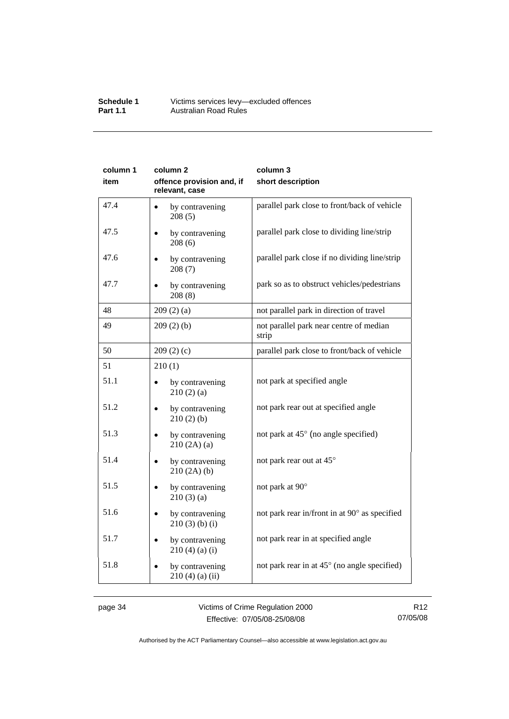#### **Schedule 1** Victims services levy—excluded offences **Part 1.1 Australian Road Rules**

| column 1 | column <sub>2</sub>                         | column 3                                         |
|----------|---------------------------------------------|--------------------------------------------------|
| item     | offence provision and, if<br>relevant, case | short description                                |
| 47.4     | by contravening<br>$\bullet$<br>208(5)      | parallel park close to front/back of vehicle     |
| 47.5     | by contravening<br>208(6)                   | parallel park close to dividing line/strip       |
| 47.6     | by contravening<br>208(7)                   | parallel park close if no dividing line/strip    |
| 47.7     | by contravening<br>208(8)                   | park so as to obstruct vehicles/pedestrians      |
| 48       | 209(2)(a)                                   | not parallel park in direction of travel         |
| 49       | 209(2)(b)                                   | not parallel park near centre of median<br>strip |
| 50       | 209(2)(c)                                   | parallel park close to front/back of vehicle     |
| 51       | 210(1)                                      |                                                  |
| 51.1     | by contravening<br>210(2)(a)                | not park at specified angle                      |
| 51.2     | by contravening<br>210(2)(b)                | not park rear out at specified angle             |
| 51.3     | by contravening<br>210(2A)(a)               | not park at 45° (no angle specified)             |
| 51.4     | by contravening<br>210(2A)(b)               | not park rear out at 45°                         |
| 51.5     | by contravening<br>210(3)(a)                | not park at 90°                                  |
| 51.6     | by contravening<br>$210(3)$ (b) (i)         | not park rear in/front in at 90° as specified    |
| 51.7     | by contravening<br>210(4)(a)(i)             | not park rear in at specified angle              |
| 51.8     | by contravening<br>$210(4)$ (a) (ii)        | not park rear in at 45° (no angle specified)     |

page 34 Victims of Crime Regulation 2000 Effective: 07/05/08-25/08/08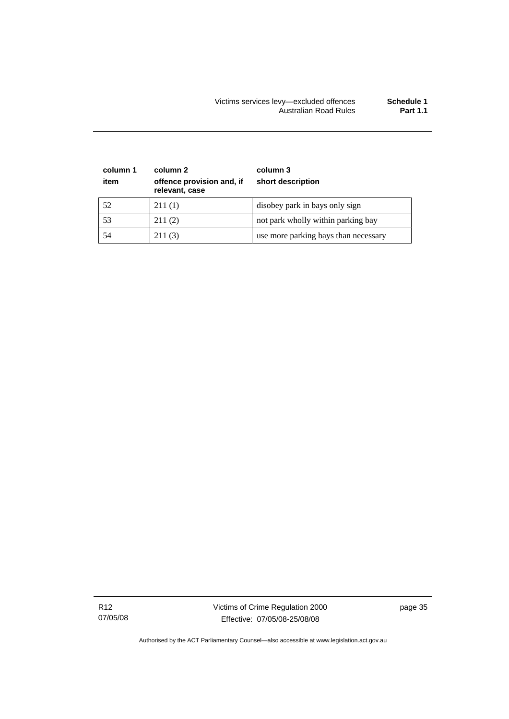| column 1<br>item | column 2<br>offence provision and, if<br>relevant, case | column 3<br>short description        |
|------------------|---------------------------------------------------------|--------------------------------------|
| 52               | 211(1)                                                  | disobey park in bays only sign       |
| 53               | 211(2)                                                  | not park wholly within parking bay   |
| 54               | 211(3)                                                  | use more parking bays than necessary |

R12 07/05/08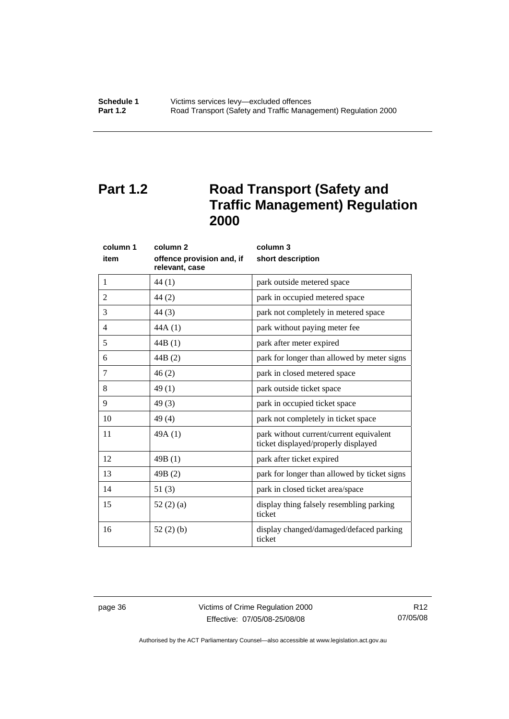## <span id="page-41-0"></span>**Part 1.2** Road Transport (Safety and **Traffic Management) Regulation 2000**

|      | column 1 | column <sub>2</sub>                         | column 3                                                                       |
|------|----------|---------------------------------------------|--------------------------------------------------------------------------------|
| item |          | offence provision and, if<br>relevant, case | short description                                                              |
| 1    |          | 44 (1)                                      | park outside metered space                                                     |
| 2    |          | 44(2)                                       | park in occupied metered space                                                 |
| 3    |          | 44(3)                                       | park not completely in metered space                                           |
| 4    |          | 44A(1)                                      | park without paying meter fee                                                  |
| 5    |          | 44B(1)                                      | park after meter expired                                                       |
| 6    |          | 44B (2)                                     | park for longer than allowed by meter signs                                    |
| 7    |          | 46(2)                                       | park in closed metered space                                                   |
| 8    |          | 49(1)                                       | park outside ticket space                                                      |
| 9    |          | 49(3)                                       | park in occupied ticket space                                                  |
| 10   |          | 49(4)                                       | park not completely in ticket space                                            |
| 11   |          | 49A(1)                                      | park without current/current equivalent<br>ticket displayed/properly displayed |
| 12   |          | 49B(1)                                      | park after ticket expired                                                      |
| 13   |          | 49B(2)                                      | park for longer than allowed by ticket signs                                   |
| 14   |          | 51(3)                                       | park in closed ticket area/space                                               |
| 15   |          | 52 $(2)$ $(a)$                              | display thing falsely resembling parking<br>ticket                             |
| 16   |          | 52(2)(b)                                    | display changed/damaged/defaced parking<br>ticket                              |

page 36 Victims of Crime Regulation 2000 Effective: 07/05/08-25/08/08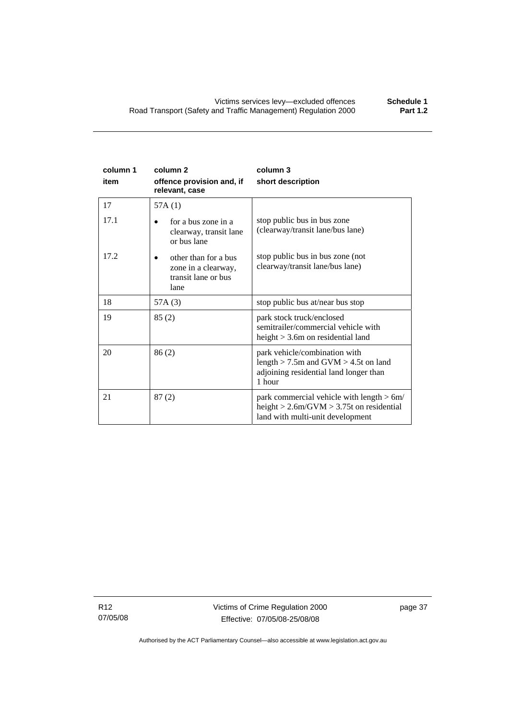| column 1<br>item | column <sub>2</sub><br>offence provision and, if<br>relevant, case         | column 3<br>short description                                                                                                     |
|------------------|----------------------------------------------------------------------------|-----------------------------------------------------------------------------------------------------------------------------------|
| 17               | 57A(1)                                                                     |                                                                                                                                   |
| 17.1             | for a bus zone in a<br>clearway, transit lane<br>or bus lane               | stop public bus in bus zone<br>(clearway/transit lane/bus lane)                                                                   |
| 17.2             | other than for a bus<br>zone in a clearway,<br>transit lane or bus<br>lane | stop public bus in bus zone (not<br>clearway/transit lane/bus lane)                                                               |
| 18               | 57A(3)                                                                     | stop public bus at/near bus stop                                                                                                  |
| 19               | 85(2)                                                                      | park stock truck/enclosed<br>semitrailer/commercial vehicle with<br>height $>$ 3.6m on residential land                           |
| 20               | 86(2)                                                                      | park vehicle/combination with<br>length $> 7.5$ m and GVM $> 4.5$ t on land<br>adjoining residential land longer than<br>1 hour   |
| 21               | 87(2)                                                                      | park commercial vehicle with length $> 6m/$<br>height $> 2.6$ m/GVM $> 3.75$ t on residential<br>land with multi-unit development |

R12 07/05/08 Victims of Crime Regulation 2000 Effective: 07/05/08-25/08/08

page 37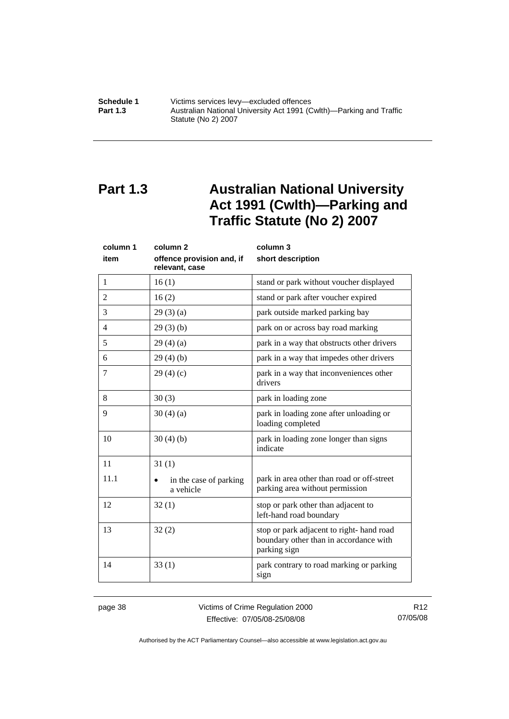<span id="page-43-0"></span>**Schedule 1 Victims services levy—excluded offences**<br>**Part 1.3 Australian National University Act 1991 (C Part 1.3** Australian National University Act 1991 (Cwlth)—Parking and Traffic Statute (No 2) 2007

### **Part 1.3 Australian National University Act 1991 (Cwlth)—Parking and Traffic Statute (No 2) 2007**

| column 1       | column <sub>2</sub><br>column 3             |                                                                                                     |
|----------------|---------------------------------------------|-----------------------------------------------------------------------------------------------------|
| item           | offence provision and, if<br>relevant, case | short description                                                                                   |
| $\mathbf{1}$   | 16(1)                                       | stand or park without voucher displayed                                                             |
| $\overline{2}$ | 16(2)                                       | stand or park after voucher expired                                                                 |
| 3              | 29(3)(a)                                    | park outside marked parking bay                                                                     |
| $\overline{4}$ | 29(3)(b)                                    | park on or across bay road marking                                                                  |
| 5              | 29(4)(a)                                    | park in a way that obstructs other drivers                                                          |
| 6              | 29(4)(b)                                    | park in a way that impedes other drivers                                                            |
| 7              | 29(4)(c)                                    | park in a way that inconveniences other<br>drivers                                                  |
| 8              | 30(3)                                       | park in loading zone                                                                                |
| 9              | 30(4)(a)                                    | park in loading zone after unloading or<br>loading completed                                        |
| 10             | 30(4)(b)                                    | park in loading zone longer than signs<br>indicate                                                  |
| 11             | 31(1)                                       |                                                                                                     |
| 11.1           | in the case of parking<br>a vehicle         | park in area other than road or off-street<br>parking area without permission                       |
| 12             | 32(1)                                       | stop or park other than adjacent to<br>left-hand road boundary                                      |
| 13             | 32(2)                                       | stop or park adjacent to right- hand road<br>boundary other than in accordance with<br>parking sign |
| 14             | 33(1)                                       | park contrary to road marking or parking<br>sign                                                    |

page 38 Victims of Crime Regulation 2000 Effective: 07/05/08-25/08/08

R12 07/05/08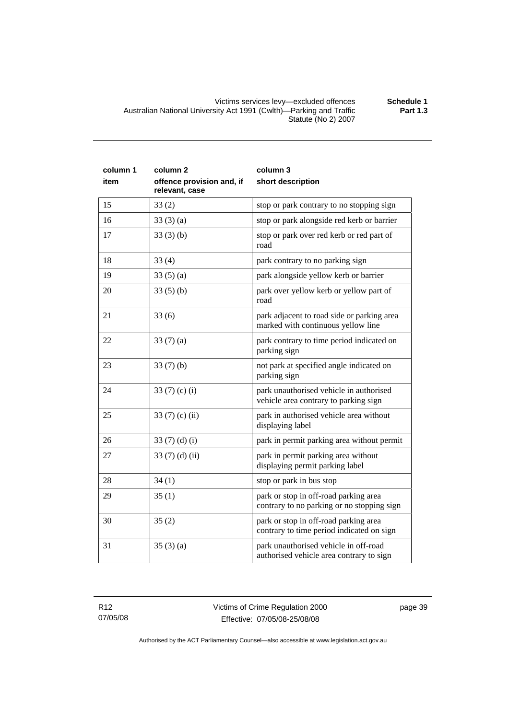Victims services levy—excluded offences **Schedule 1**  Australian National University Act 1991 (Cwlth)—Parking and Traffic Statute (No 2) 2007

| column 1 | column <sub>2</sub>                         | column 3                                                                            |
|----------|---------------------------------------------|-------------------------------------------------------------------------------------|
| item     | offence provision and, if<br>relevant, case | short description                                                                   |
| 15       | 33(2)                                       | stop or park contrary to no stopping sign                                           |
| 16       | 33(3)(a)                                    | stop or park alongside red kerb or barrier                                          |
| 17       | 33(3)(b)                                    | stop or park over red kerb or red part of<br>road                                   |
| 18       | 33(4)                                       | park contrary to no parking sign                                                    |
| 19       | 33(5)(a)                                    | park alongside yellow kerb or barrier                                               |
| 20       | 33(5)(b)                                    | park over yellow kerb or yellow part of<br>road                                     |
| 21       | 33(6)                                       | park adjacent to road side or parking area<br>marked with continuous yellow line    |
| 22       | 33(7)(a)                                    | park contrary to time period indicated on<br>parking sign                           |
| 23       | 33(7)(b)                                    | not park at specified angle indicated on<br>parking sign                            |
| 24       | 33 $(7)$ $(c)$ $(i)$                        | park unauthorised vehicle in authorised<br>vehicle area contrary to parking sign    |
| 25       | 33 $(7)$ $(c)$ $(ii)$                       | park in authorised vehicle area without<br>displaying label                         |
| 26       | 33 $(7)$ $(d)$ $(i)$                        | park in permit parking area without permit                                          |
| 27       | 33 $(7)$ $(d)$ $(ii)$                       | park in permit parking area without<br>displaying permit parking label              |
| 28       | 34(1)                                       | stop or park in bus stop                                                            |
| 29       | 35(1)                                       | park or stop in off-road parking area<br>contrary to no parking or no stopping sign |
| 30       | 35(2)                                       | park or stop in off-road parking area<br>contrary to time period indicated on sign  |
| 31       | 35(3)(a)                                    | park unauthorised vehicle in off-road<br>authorised vehicle area contrary to sign   |

page 39

**Part 1.3**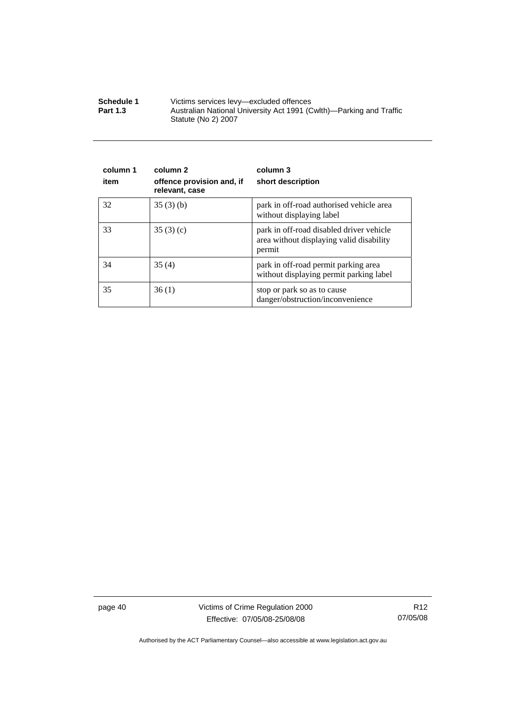| Schedule 1      | Victims services levy—excluded offences                                                    |  |
|-----------------|--------------------------------------------------------------------------------------------|--|
| <b>Part 1.3</b> | Australian National University Act 1991 (Cwlth)—Parking and Traffic<br>Statute (No 2) 2007 |  |

| column 1<br>item | column 2<br>offence provision and, if<br>relevant, case | column 3<br>short description                                                                  |
|------------------|---------------------------------------------------------|------------------------------------------------------------------------------------------------|
| 32               | 35(3)(b)                                                | park in off-road authorised vehicle area<br>without displaying label                           |
| 33               | 35(3)(c)                                                | park in off-road disabled driver vehicle<br>area without displaying valid disability<br>permit |
| 34               | 35(4)                                                   | park in off-road permit parking area<br>without displaying permit parking label                |
| 35               | 36(1)                                                   | stop or park so as to cause<br>danger/obstruction/inconvenience                                |

page 40 Victims of Crime Regulation 2000 Effective: 07/05/08-25/08/08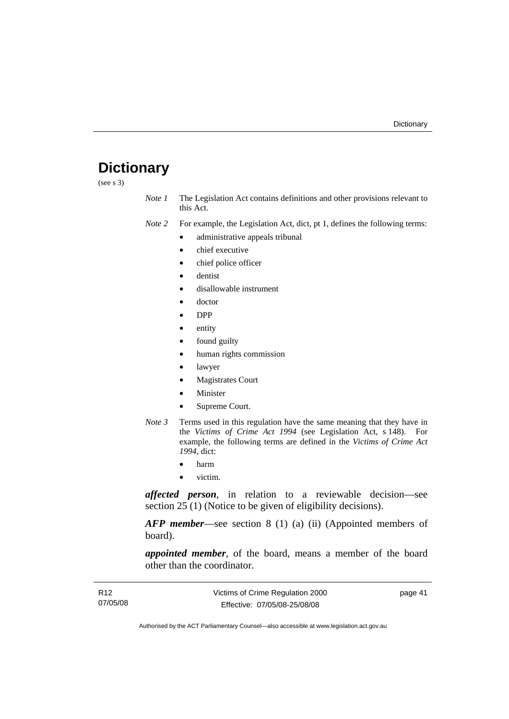### <span id="page-46-0"></span>**Dictionary**

(see s 3)

*Note 1* The Legislation Act contains definitions and other provisions relevant to this Act.

*Note 2* For example, the Legislation Act, dict, pt 1, defines the following terms:

- administrative appeals tribunal
- chief executive
- chief police officer
- dentist
- disallowable instrument
- doctor
- DPP
- entity
- found guilty
- human rights commission
- lawyer
- **Magistrates Court**
- **Minister**
- Supreme Court.
- *Note 3* Terms used in this regulation have the same meaning that they have in the *Victims of Crime Act 1994* (see Legislation Act, s 148). For example, the following terms are defined in the *Victims of Crime Act 1994*, dict:
	- harm
	- victim.

*affected person*, in relation to a reviewable decision—see section 25 (1) (Notice to be given of eligibility decisions).

*AFP member*—see section 8 (1) (a) (ii) (Appointed members of board).

*appointed member*, of the board, means a member of the board other than the coordinator.

| R <sub>12</sub> | Victims of Crime Regulation 2000 | page 41 |
|-----------------|----------------------------------|---------|
| 07/05/08        | Effective: 07/05/08-25/08/08     |         |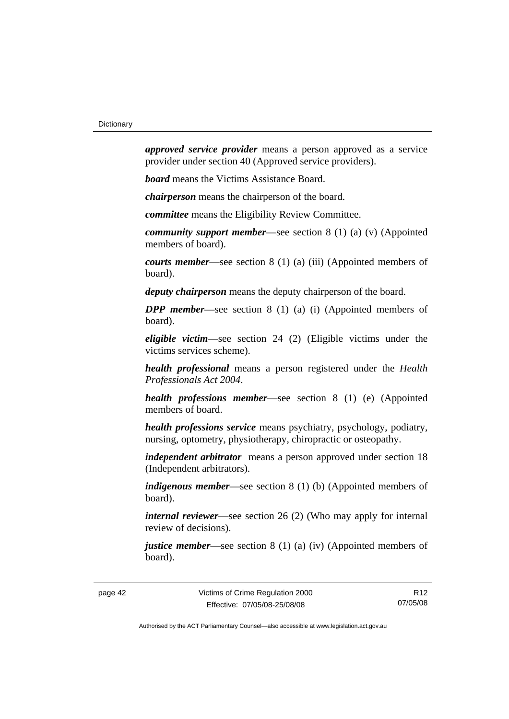*approved service provider* means a person approved as a service provider under section 40 (Approved service providers).

*board* means the Victims Assistance Board.

*chairperson* means the chairperson of the board.

*committee* means the Eligibility Review Committee.

*community support member*—see section 8 (1) (a) (v) (Appointed members of board).

*courts member*—see section 8 (1) (a) (iii) (Appointed members of board).

*deputy chairperson* means the deputy chairperson of the board.

*DPP member*—see section 8 (1) (a) (i) (Appointed members of board).

*eligible victim*—see section 24 (2) (Eligible victims under the victims services scheme).

*health professional* means a person registered under the *Health Professionals Act 2004*.

*health professions member*—see section 8 (1) (e) (Appointed members of board.

*health professions service* means psychiatry, psychology, podiatry, nursing, optometry, physiotherapy, chiropractic or osteopathy.

*independent arbitrator* means a person approved under section 18 (Independent arbitrators).

*indigenous member*—see section 8 (1) (b) (Appointed members of board).

*internal reviewer*—see section 26 (2) (Who may apply for internal review of decisions).

*justice member*—see section 8 (1) (a) (iv) (Appointed members of board).

R12 07/05/08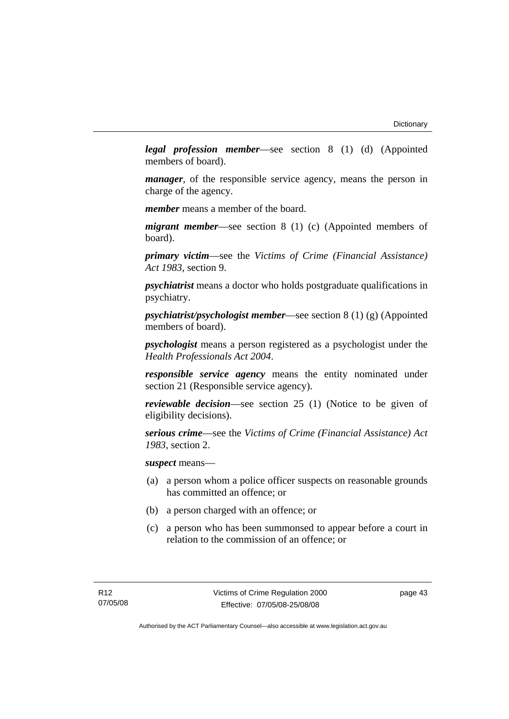*legal profession member*—see section 8 (1) (d) (Appointed members of board).

*manager*, of the responsible service agency, means the person in charge of the agency.

*member* means a member of the board.

*migrant member*—see section 8 (1) (c) (Appointed members of board).

*primary victim*—see the *Victims of Crime (Financial Assistance) Act 1983*, section 9.

*psychiatrist* means a doctor who holds postgraduate qualifications in psychiatry.

*psychiatrist/psychologist member*—see section 8 (1) (g) (Appointed members of board).

*psychologist* means a person registered as a psychologist under the *Health Professionals Act 2004*.

*responsible service agency* means the entity nominated under section 21 (Responsible service agency).

*reviewable decision*—see section 25 (1) (Notice to be given of eligibility decisions).

*serious crime*—see the *Victims of Crime (Financial Assistance) Act 1983*, section 2.

*suspect* means—

- (a) a person whom a police officer suspects on reasonable grounds has committed an offence; or
- (b) a person charged with an offence; or
- (c) a person who has been summonsed to appear before a court in relation to the commission of an offence; or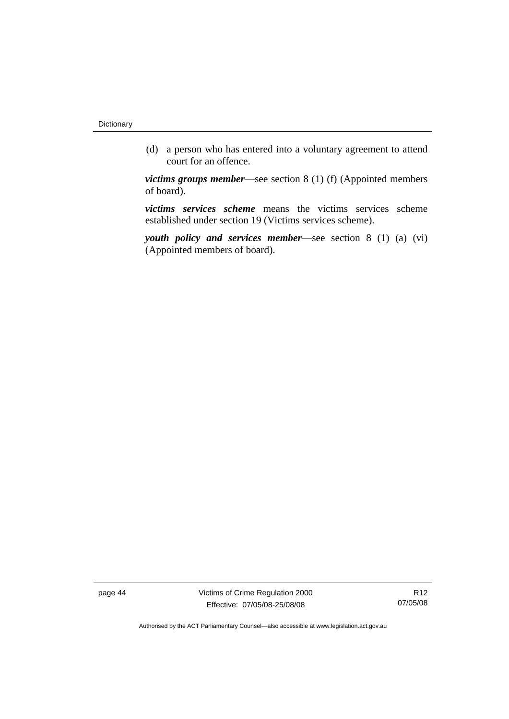(d) a person who has entered into a voluntary agreement to attend court for an offence.

*victims groups member*—see section 8 (1) (f) (Appointed members of board).

*victims services scheme* means the victims services scheme established under section 19 (Victims services scheme).

*youth policy and services member*—see section 8 (1) (a) (vi) (Appointed members of board).

page 44 Victims of Crime Regulation 2000 Effective: 07/05/08-25/08/08

R12 07/05/08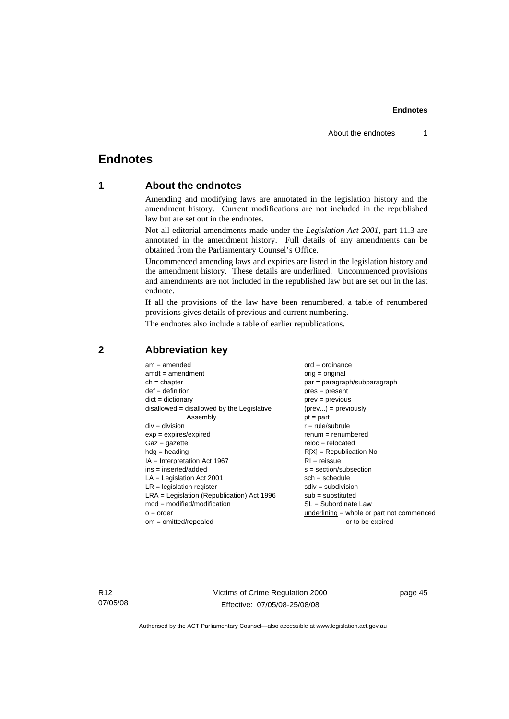### <span id="page-50-0"></span>**Endnotes**

### **1 About the endnotes**

Amending and modifying laws are annotated in the legislation history and the amendment history. Current modifications are not included in the republished law but are set out in the endnotes.

Not all editorial amendments made under the *Legislation Act 2001*, part 11.3 are annotated in the amendment history. Full details of any amendments can be obtained from the Parliamentary Counsel's Office.

Uncommenced amending laws and expiries are listed in the legislation history and the amendment history. These details are underlined. Uncommenced provisions and amendments are not included in the republished law but are set out in the last endnote.

If all the provisions of the law have been renumbered, a table of renumbered provisions gives details of previous and current numbering.

The endnotes also include a table of earlier republications.

| $am = amended$                               | $ord = ordinance$                         |
|----------------------------------------------|-------------------------------------------|
| $amdt = amendment$                           | $orig = original$                         |
| $ch = chapter$                               | $par = paragraph/subparagraph$            |
| $def = definition$                           | $pres = present$                          |
| $dict = dictionary$                          | $prev = previous$                         |
| disallowed = disallowed by the Legislative   | $(\text{prev}) = \text{previously}$       |
| Assembly                                     | $pt = part$                               |
| $div = division$                             | $r = rule/subrule$                        |
| $exp = expires/expired$                      | $remum = renumbered$                      |
| $Gaz = gazette$                              | $reloc = relocated$                       |
| $hdg =$ heading                              | $R[X]$ = Republication No                 |
| $IA = Interpretation Act 1967$               | $RI = reissue$                            |
| $ins = inserted/added$                       | $s = section/subsection$                  |
| $LA =$ Legislation Act 2001                  | $sch = schedule$                          |
| $LR =$ legislation register                  | $sdiv = subdivision$                      |
| $LRA =$ Legislation (Republication) Act 1996 | $sub =$ substituted                       |
| $mod = modified/modification$                | SL = Subordinate Law                      |
| $o = order$                                  | underlining = whole or part not commenced |
| $om = omitted/repealed$                      | or to be expired                          |
|                                              |                                           |

#### **2 Abbreviation key**

R12 07/05/08 Victims of Crime Regulation 2000 Effective: 07/05/08-25/08/08

page 45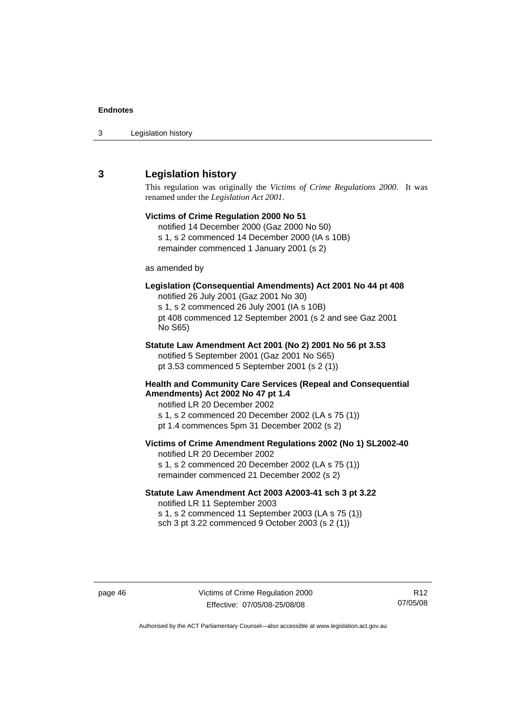<span id="page-51-0"></span>

| 3 | Legislation history |  |
|---|---------------------|--|
|---|---------------------|--|

### **3 Legislation history**

This regulation was originally the *Victims of Crime Regulations 2000*. It was renamed under the *Legislation Act 2001*.

### **Victims of Crime Regulation 2000 No 51**  notified 14 December 2000 (Gaz 2000 No 50) s 1, s 2 commenced 14 December 2000 (IA s 10B) remainder commenced 1 January 2001 (s 2) as amended by **Legislation (Consequential Amendments) Act 2001 No 44 pt 408**  notified 26 July 2001 (Gaz 2001 No 30) s 1, s 2 commenced 26 July 2001 (IA s 10B) pt 408 commenced 12 September 2001 (s 2 and see Gaz 2001 No S65) **Statute Law Amendment Act 2001 (No 2) 2001 No 56 pt 3.53**  notified 5 September 2001 (Gaz 2001 No S65) pt 3.53 commenced 5 September 2001 (s 2 (1)) **Health and Community Care Services (Repeal and Consequential Amendments) Act 2002 No 47 pt 1.4**  notified LR 20 December 2002 s 1, s 2 commenced 20 December 2002 (LA s 75 (1)) pt 1.4 commences 5pm 31 December 2002 (s 2) **Victims of Crime Amendment Regulations 2002 (No 1) SL2002-40**  notified LR 20 December 2002 s 1, s 2 commenced 20 December 2002 (LA s 75 (1)) remainder commenced 21 December 2002 (s 2) **Statute Law Amendment Act 2003 A2003-41 sch 3 pt 3.22**  notified LR 11 September 2003

s 1, s 2 commenced 11 September 2003 (LA s 75 (1)) sch 3 pt 3.22 commenced 9 October 2003 (s 2 (1))

R12 07/05/08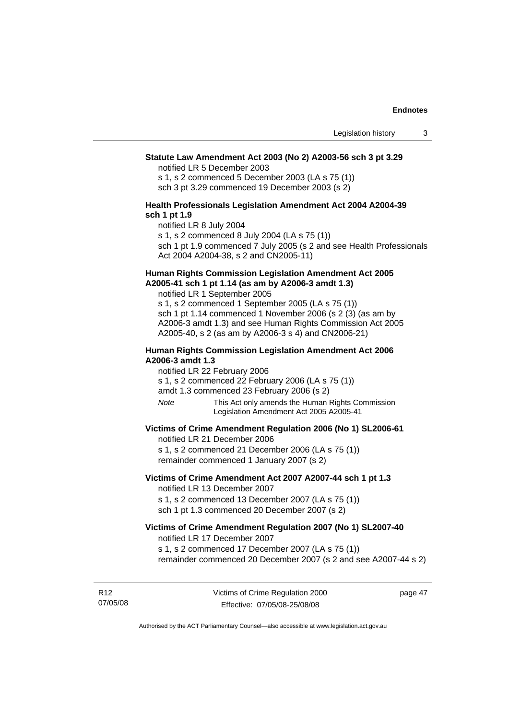#### **Statute Law Amendment Act 2003 (No 2) A2003-56 sch 3 pt 3.29**

notified LR 5 December 2003

s 1, s 2 commenced 5 December 2003 (LA s 75 (1)) sch 3 pt 3.29 commenced 19 December 2003 (s 2)

#### **Health Professionals Legislation Amendment Act 2004 A2004-39 sch 1 pt 1.9**

notified LR 8 July 2004

s 1, s 2 commenced 8 July 2004 (LA s 75 (1))

sch 1 pt 1.9 commenced 7 July 2005 (s 2 and see Health Professionals Act 2004 A2004-38, s 2 and CN2005-11)

#### **Human Rights Commission Legislation Amendment Act 2005 A2005-41 sch 1 pt 1.14 (as am by A2006-3 amdt 1.3)**

notified LR 1 September 2005 s 1, s 2 commenced 1 September 2005 (LA s 75 (1)) sch 1 pt 1.14 commenced 1 November 2006 (s 2 (3) (as am by A2006-3 amdt 1.3) and see Human Rights Commission Act 2005

A2005-40, s 2 (as am by A2006-3 s 4) and CN2006-21)

#### **Human Rights Commission Legislation Amendment Act 2006 A2006-3 amdt 1.3**

notified LR 22 February 2006

s 1, s 2 commenced 22 February 2006 (LA s 75 (1))

amdt 1.3 commenced 23 February 2006 (s 2)

*Note* This Act only amends the Human Rights Commission Legislation Amendment Act 2005 A2005-41

#### **Victims of Crime Amendment Regulation 2006 (No 1) SL2006-61**

notified LR 21 December 2006

s 1, s 2 commenced 21 December 2006 (LA s 75 (1)) remainder commenced 1 January 2007 (s 2)

#### **Victims of Crime Amendment Act 2007 A2007-44 sch 1 pt 1.3**  notified LR 13 December 2007

s 1, s 2 commenced 13 December 2007 (LA s 75 (1)) sch 1 pt 1.3 commenced 20 December 2007 (s 2)

#### **Victims of Crime Amendment Regulation 2007 (No 1) SL2007-40**  notified LR 17 December 2007

s 1, s 2 commenced 17 December 2007 (LA s 75 (1)) remainder commenced 20 December 2007 (s 2 and see A2007-44 s 2)

R12 07/05/08 page 47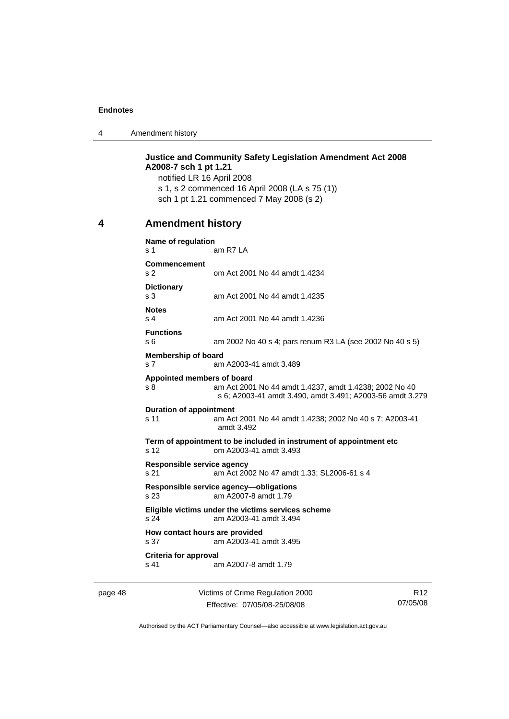<span id="page-53-0"></span>4 Amendment history

**Justice and Community Safety Legislation Amendment Act 2008 A2008-7 sch 1 pt 1.21**  notified LR 16 April 2008 s 1, s 2 commenced 16 April 2008 (LA s 75 (1)) sch 1 pt 1.21 commenced 7 May 2008 (s 2) **4 Amendment history Name of regulation**  s 1 am R7 LA **Commencement**  s 2 om Act 2001 No 44 amdt 1.4234 **Dictionary**  s 3 am Act 2001 No 44 amdt 1.4235 **Notes**  s 4 am Act 2001 No 44 amdt 1.4236 **Functions**  s 6 am 2002 No 40 s 4; pars renum R3 LA (see 2002 No 40 s 5) **Membership of board**  s 7 am A2003-41 amdt 3.489 **Appointed members of board**  s 8 am Act 2001 No 44 amdt 1.4237, amdt 1.4238; 2002 No 40 s 6; A2003-41 amdt 3.490, amdt 3.491; A2003-56 amdt 3.279 **Duration of appointment**  s 11 am Act 2001 No 44 amdt 1.4238; 2002 No 40 s 7; A2003-41 amdt 3.492 **Term of appointment to be included in instrument of appointment etc**  s 12 om A2003-41 amdt 3.493 **Responsible service agency**  s 21 am Act 2002 No 47 amdt 1.33; SL2006-61 s 4 **Responsible service agency—obligations**  s 23 am A2007-8 amdt 1.79 **Eligible victims under the victims services scheme**  s 24 am A2003-41 amdt 3.494 **How contact hours are provided**  s 37 am A2003-41 amdt 3.495 **Criteria for approval**  s 41 am A2007-8 amdt 1.79

page 48 Victims of Crime Regulation 2000 Effective: 07/05/08-25/08/08

R12 07/05/08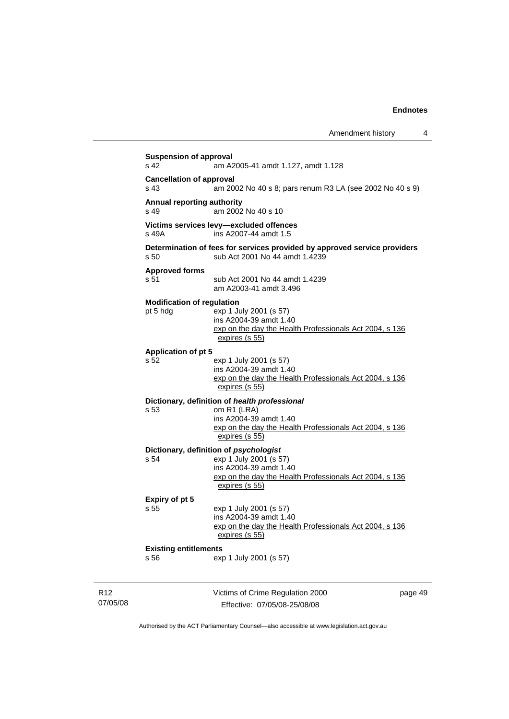|                             | <b>Suspension of approval</b><br>s <sub>42</sub> | am A2005-41 amdt 1.127, amdt 1.128                                                                                                                                      |         |
|-----------------------------|--------------------------------------------------|-------------------------------------------------------------------------------------------------------------------------------------------------------------------------|---------|
|                             | <b>Cancellation of approval</b><br>s 43          | am 2002 No 40 s 8; pars renum R3 LA (see 2002 No 40 s 9)                                                                                                                |         |
|                             | Annual reporting authority<br>s 49               | am 2002 No 40 s 10                                                                                                                                                      |         |
|                             | s 49A                                            | Victims services levy-excluded offences<br>ins A2007-44 amdt 1.5                                                                                                        |         |
|                             | s 50                                             | Determination of fees for services provided by approved service providers<br>sub Act 2001 No 44 amdt 1.4239                                                             |         |
|                             | <b>Approved forms</b><br>s 51                    | sub Act 2001 No 44 amdt 1.4239<br>am A2003-41 amdt 3.496                                                                                                                |         |
|                             | <b>Modification of regulation</b><br>pt 5 hdg    | exp 1 July 2001 (s 57)<br>ins A2004-39 amdt 1.40<br>exp on the day the Health Professionals Act 2004, s 136<br>expires (s 55)                                           |         |
|                             | <b>Application of pt 5</b><br>s 52               | exp 1 July 2001 (s 57)<br>ins A2004-39 amdt 1.40<br>exp on the day the Health Professionals Act 2004, s 136<br>expires (s 55)                                           |         |
|                             | s 53                                             | Dictionary, definition of health professional<br>om R1 (LRA)<br>ins A2004-39 amdt 1.40<br>exp on the day the Health Professionals Act 2004, s 136<br>expires (s 55)     |         |
|                             | s 54                                             | Dictionary, definition of psychologist<br>exp 1 July 2001 (s 57)<br>ins A2004-39 amdt 1.40<br>exp on the day the Health Professionals Act 2004, s 136<br>expires (s 55) |         |
|                             | Expiry of pt 5<br>s 55                           | exp 1 July 2001 (s 57)<br>ins A2004-39 amdt 1.40<br>exp on the day the Health Professionals Act 2004, s 136<br>expires (s 55)                                           |         |
|                             | <b>Existing entitlements</b><br>s 56             | exp 1 July 2001 (s 57)                                                                                                                                                  |         |
| R <sub>12</sub><br>07/05/08 |                                                  | Victims of Crime Regulation 2000<br>Effective: 07/05/08-25/08/08                                                                                                        | page 49 |

Authorised by the ACT Parliamentary Counsel—also accessible at www.legislation.act.gov.au

Effective: 07/05/08-25/08/08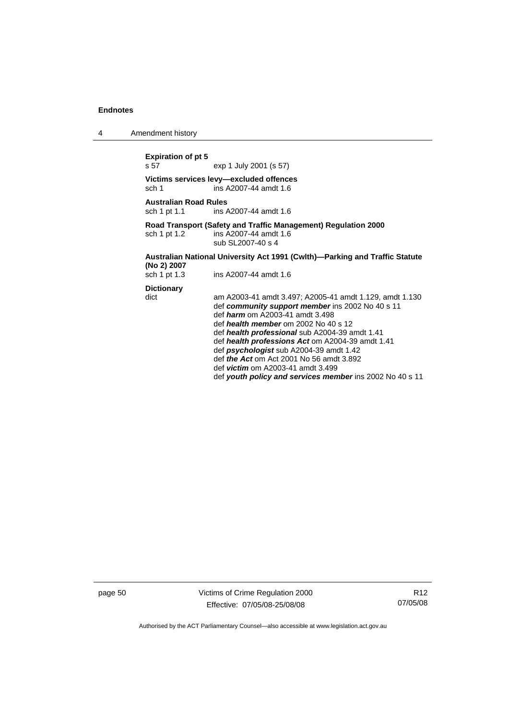4 Amendment history

### **Expiration of pt 5**

exp 1 July 2001 (s 57)

**Victims services levy—excluded offences**  sch 1 ins A2007-44 amdt 1.6

**Australian Road Rules**  ins A2007-44 amdt 1.6

#### **Road Transport (Safety and Traffic Management) Regulation 2000**  sch 1 pt 1.2 ins A2007-44 amdt 1.6

sub SL2007-40 s 4

#### **Australian National University Act 1991 (Cwlth)—Parking and Traffic Statute (No 2) 2007**

| sch 1 pt 1.3 | ins A2007-44 amdt 1.6 |  |
|--------------|-----------------------|--|
|              |                       |  |

**Dictionary** 

dict am A2003-41 amdt 3.497; A2005-41 amdt 1.129, amdt 1.130 def *community support member* ins 2002 No 40 s 11 def *harm* om A2003-41 amdt 3.498 def *health member* om 2002 No 40 s 12 def *health professional* sub A2004-39 amdt 1.41 def *health professions Act* om A2004-39 amdt 1.41 def *psychologist* sub A2004-39 amdt 1.42 def *the Act* om Act 2001 No 56 amdt 3.892 def *victim* om A2003-41 amdt 3.499 def *youth policy and services member* ins 2002 No 40 s 11

page 50 Victims of Crime Regulation 2000 Effective: 07/05/08-25/08/08

R12 07/05/08